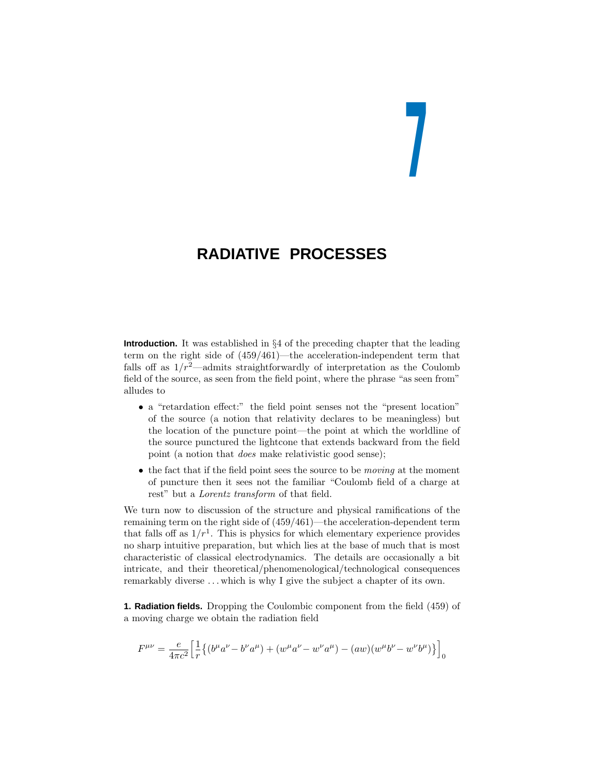# **7**

# **RADIATIVE PROCESSES**

**Introduction.** It was established in §4 of the preceding chapter that the leading term on the right side of (459/461)—the acceleration-independent term that falls off as  $1/r^2$ —admits straightforwardly of interpretation as the Coulomb field of the source, as seen from the field point, where the phrase "as seen from" alludes to

- a "retardation effect:" the field point senses not the "present location" of the source (a notion that relativitydeclares to be meaningless) but the location of the puncture point—the point at which the worldline of the source punctured the lightcone that extends backward from the field point (a notion that does make relativistic good sense);
- the fact that if the field point sees the source to be *moving* at the moment of puncture then it sees not the familiar "Coulomb field of a charge at rest" but a Lorentz transform of that field.

We turn now to discussion of the structure and physical ramifications of the remaining term on the right side of (459/461)—the acceleration-dependent term that falls off as  $1/r<sup>1</sup>$ . This is physics for which elementary experience provides no sharp intuitive preparation, but which lies at the base of much that is most characteristic of classical electrodynamics. The details are occasionally a bit intricate, and their theoretical/phenomenological/technological consequences remarkably diverse ... which is why I give the subject a chapter of its own.

**1. Radiation fields.** Dropping the Coulombic component from the field (459) of a moving charge we obtain the radiation field

$$
F^{\mu\nu} = \frac{e}{4\pi c^2} \left[ \frac{1}{r} \left\{ (b^\mu a^\nu - b^\nu a^\mu) + (w^\mu a^\nu - w^\nu a^\mu) - (aw)(w^\mu b^\nu - w^\nu b^\mu) \right\} \right]_0
$$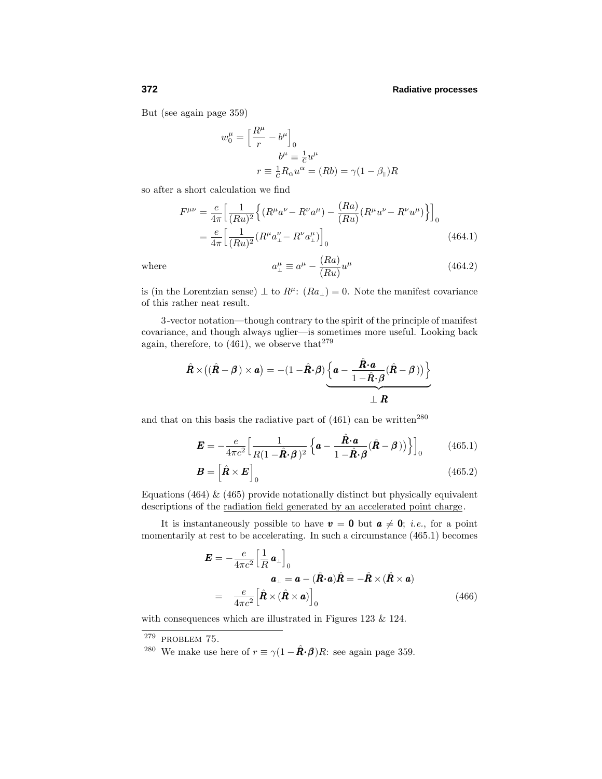But (see again page 359)

$$
w_0^{\mu} = \left[\frac{R^{\mu}}{r} - b^{\mu}\right]_0
$$

$$
b^{\mu} \equiv \frac{1}{c}u^{\mu}
$$

$$
r \equiv \frac{1}{c}R_{\alpha}u^{\alpha} = (Rb) = \gamma(1 - \beta_{\parallel})R
$$

so after a short calculation we find

$$
F^{\mu\nu} = \frac{e}{4\pi} \left[ \frac{1}{(Ru)^2} \left\{ (R^{\mu}a^{\nu} - R^{\nu}a^{\mu}) - \frac{(Ra)}{(Ru)} (R^{\mu}u^{\nu} - R^{\nu}u^{\mu}) \right\} \right]_0
$$
  
=  $\frac{e}{4\pi} \left[ \frac{1}{(Ru)^2} (R^{\mu}a^{\nu}_{\perp} - R^{\nu}a^{\mu}_{\perp}) \right]_0$  (464.1)

where *a* 

$$
u_{\perp}^{\mu} \equiv a^{\mu} - \frac{(Ra)}{(Ru)} u^{\mu} \tag{464.2}
$$

is (in the Lorentzian sense)  $\perp$  to  $R^{\mu}$ :  $(Ra_{\perp}) = 0$ . Note the manifest covariance of this rather neat result.

3-vector notation—though contraryto the spirit of the principle of manifest covariance, and though always uglier—is sometimes more useful. Looking back again, therefore, to  $(461)$ , we observe that<sup>279</sup>

$$
\hat{\mathbf{R}} \times ((\hat{\mathbf{R}} - \boldsymbol{\beta}) \times \mathbf{a}) = -(1 - \hat{\mathbf{R}} \cdot \boldsymbol{\beta}) \underbrace{\left\{ \mathbf{a} - \frac{\hat{\mathbf{R}} \cdot \mathbf{a}}{1 - \hat{\mathbf{R}} \cdot \boldsymbol{\beta}} (\hat{\mathbf{R}} - \boldsymbol{\beta}) \right\}}_{\perp \mathbf{R}}
$$

and that on this basis the radiative part of  $(461)$  can be written<sup>280</sup>

$$
\boldsymbol{E} = -\frac{e}{4\pi c^2} \Big[ \frac{1}{R(1 - \hat{\boldsymbol{R}} \cdot \boldsymbol{\beta})^2} \left\{ \boldsymbol{a} - \frac{\hat{\boldsymbol{R}} \cdot \boldsymbol{a}}{1 - \hat{\boldsymbol{R}} \cdot \boldsymbol{\beta}} (\hat{\boldsymbol{R}} - \boldsymbol{\beta}) \right\} \Big]_0 \tag{465.1}
$$

$$
\boldsymbol{B} = \left[ \hat{\boldsymbol{R}} \times \boldsymbol{E} \right]_0 \tag{465.2}
$$

Equations (464)  $\&$  (465) provide notationally distinct but physically equivalent descriptions of the <u>radiation field generated</u> by an accelerated point charge.

It is instantaneously possible to have  $v = 0$  but  $a \neq 0$ ; *i.e.*, for a point momentarilyat rest to be accelerating. In such a circumstance (465.1) becomes

$$
\mathbf{E} = -\frac{e}{4\pi c^2} \Big[ \frac{1}{R} \mathbf{a}_{\perp} \Big]_0
$$
  
\n
$$
\mathbf{a}_{\perp} = \mathbf{a} - (\hat{\mathbf{R}} \cdot \mathbf{a}) \hat{\mathbf{R}} = -\hat{\mathbf{R}} \times (\hat{\mathbf{R}} \times \mathbf{a})
$$
  
\n
$$
= \frac{e}{4\pi c^2} \Big[ \hat{\mathbf{R}} \times (\hat{\mathbf{R}} \times \mathbf{a}) \Big]_0
$$
 (466)

with consequences which are illustrated in Figures 123 & 124.

 $279$  PROBLEM 75.

<sup>&</sup>lt;sup>280</sup> We make use here of  $r \equiv \gamma (1 - \hat{\mathbf{R}} \cdot \mathbf{\beta}) R$ : see again page 359.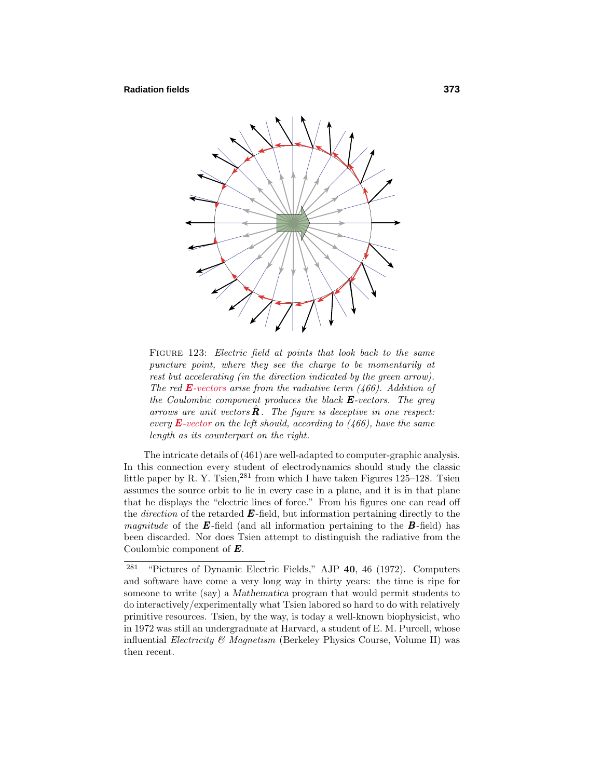

FIGURE 123: Electric field at points that look back to the same puncture point, where they see the charge to be momentarily at rest but accelerating (in the direction indicated by the green arrow). The red *E*-vectors arise from the radiative term (466). Addition of the Coulombic component produces the black *E*-vectors. The grey arrows are unit vectors  $\mathbf{R}$ . The figure is deceptive in one respect: every  $\bf{E}$ -vector on the left should, according to (466), have the same length as its counterpart on the right.

The intricate details of (461) are well-adapted to computer-graphic analysis. In this connection every student of electrodynamics should study the classic little paper by R. Y. Tsien,  $281$  from which I have taken Figures 125–128. Tsien assumes the source orbit to lie in everycase in a plane, and it is in that plane that he displays the "electric lines of force." From his figures one can read off the *direction* of the retarded  $\boldsymbol{E}$ -field, but information pertaining directly to the *magnitude* of the  $\vec{E}$ -field (and all information pertaining to the  $\vec{B}$ -field) has been discarded. Nor does Tsien attempt to distinguish the radiative from the Coulombic component of *E*.

<sup>281</sup> "Pictures of Dynamic Electric Fields," AJP **40**, 46 (1972). Computers and software have come a verylong wayin thirtyyears: the time is ripe for someone to write (say) a *Mathematica* program that would permit students to do interactively/experimentally what Tsien labored so hard to do with relatively primitive resources. Tsien, bythe way, is todaya well-known biophysicist, who in 1972 was still an undergraduate at Harvard, a student of E. M. Purcell, whose influential *Electricity*  $\mathcal{B}$  *Magnetism* (Berkeley Physics Course, Volume II) was then recent.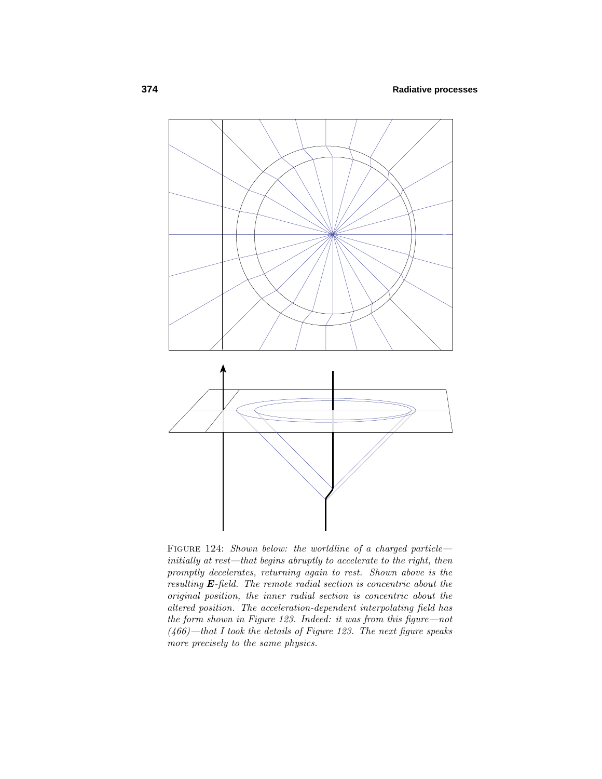

FIGURE 124: Shown below: the worldline of a charged particleinitially at rest—that begins abruptly to accelerate to the right, then promptly decelerates, returning again to rest. Shown above is the resulting *E*-field. The remote radial section is concentric about the original position, the inner radial section is concentric about the altered position. The acceleration-dependent interpolating field has the form shown in Figure 123. Indeed: it was from this figure—not  $(466)$ —that I took the details of Figure 123. The next figure speaks more precisely to the same physics.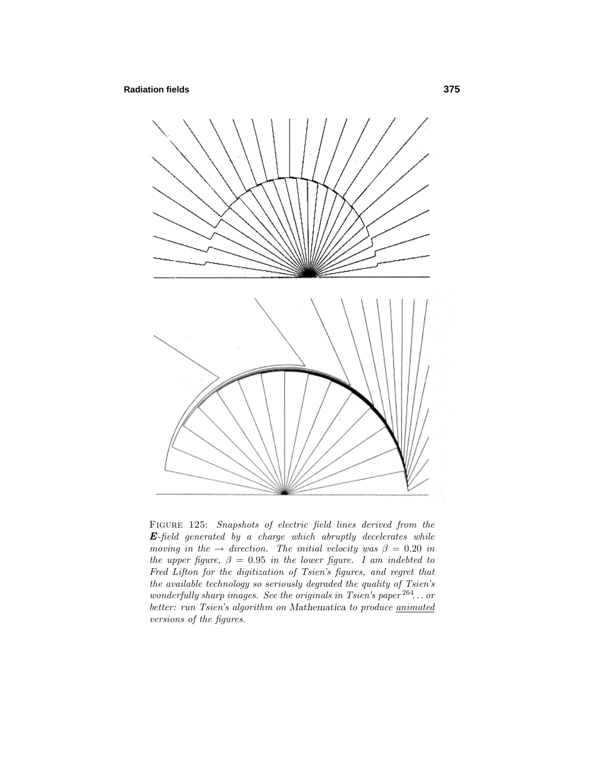## **Radiation fields 375**



FIGURE 125: Snapshots of electric field lines derived from the *E*-field generated by a charge which abruptly decelerates while moving in the  $\rightarrow$  direction. The initial velocity was  $\beta = 0.20$  in the upper figure,  $\beta = 0.95$  in the lower figure. I am indebted to Fred Lifton for the digitization of Tsien's figures, and regret that the available technology so seriously degraded the quality of Tsien's wonderfully sharp images. See the originals in Tsien's paper <sup>264</sup>*...* or better: run Tsien's algorithm on Mathematica to produce *animated* versions of the figures.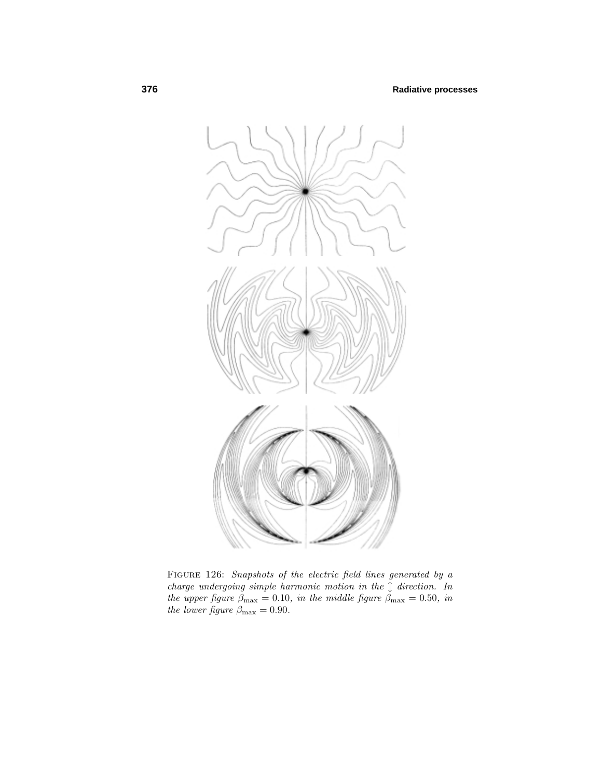

FIGURE 126: Snapshots of the electric field lines generated by a charge undergoing simple harmonic motion in the  $\int$  direction. In the upper figure  $\beta_{\text{max}} = 0.10$ , in the middle figure  $\beta_{\text{max}} = 0.50$ , in the lower figure  $\beta_{\text{max}} = 0.90$ .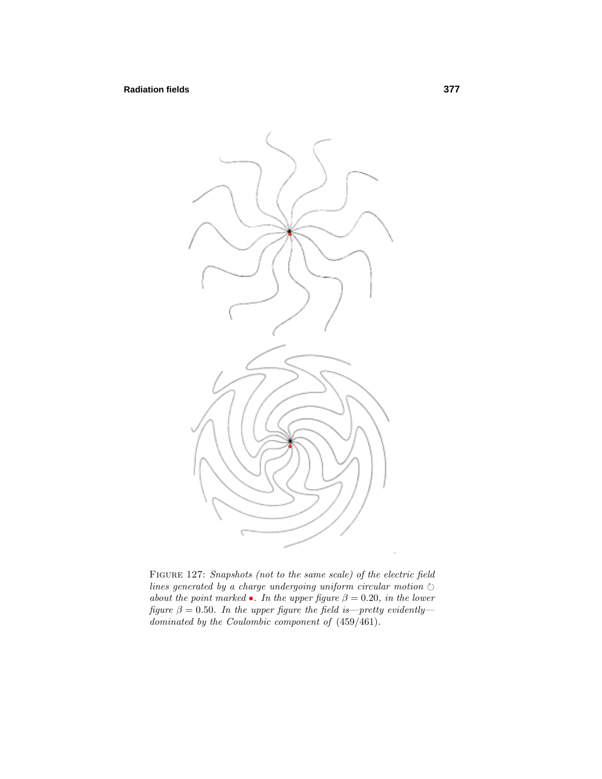# **Radiation fields 377**



Figure 127: Snapshots (not to the same scale) of the electric field lines generated by a charge undergoing uniform circular motion  $\circlearrowright$ about the point marked •. In the upper figure  $\beta = 0.20$ , in the lower figure  $\beta = 0.50$ . In the upper figure the field is—pretty evidently dominated by the Coulombic component of (459/461).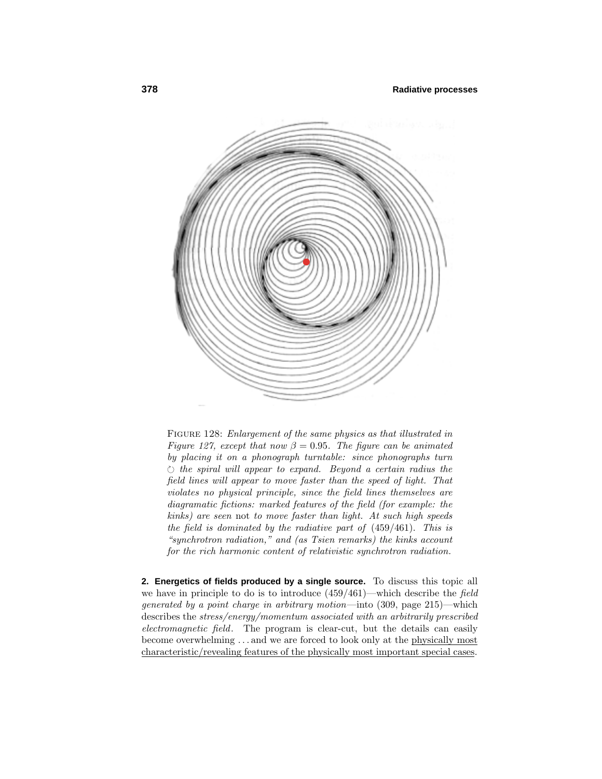

FIGURE 128: Enlargement of the same physics as that illustrated in Figure 127, except that now  $\beta = 0.95$ . The figure can be animated by placing it on a phonograph turntable: since phonographs turn  $\circlearrowright$  the spiral will appear to expand. Beyond a certain radius the field lines will appear to move faster than the speed of light. That violates no physical principle, since the field lines themselves are diagramatic fictions: marked features of the field (for example: the kinks) are seen not to move faster than light. At such high speeds the field is dominated by the radiative part of (459/461). This is "synchrotron radiation," and (as Tsien remarks) the kinks account for the rich harmonic content of relativistic synchrotron radiation.

**2. Energetics of fields produced by a single source.** To discuss this topic all we have in principle to do is to introduce (459/461)—which describe the field generated by a point charge in arbitrary motion—into (309, page 215)—which describes the stress/energy/momentum associated with an arbitrarily prescribed electromagnetic field. The program is clear-cut, but the details can easily become overwhelming ...and we are forced to look only at the physically most characteristic/revealing features of the physically most important special cases.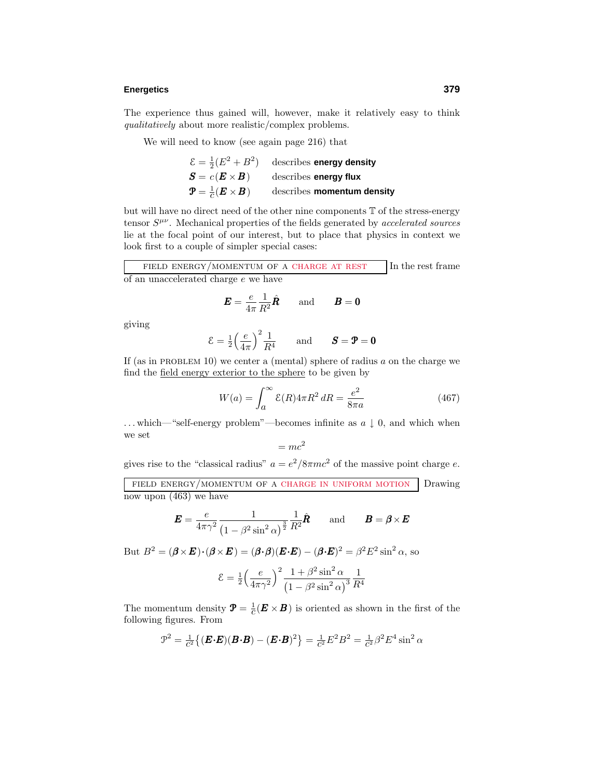#### **Energetics 379**

The experience thus gained will, however, make it relatively easy to think qualitatively about more realistic/complex problems.

We will need to know (see again page 216) that

$$
\mathcal{E} = \frac{1}{2}(E^2 + B^2)
$$
 describes energy density  
\n
$$
\mathcal{S} = c(\mathbf{E} \times \mathbf{B})
$$
 describes energy flux  
\n
$$
\mathcal{P} = \frac{1}{c}(\mathbf{E} \times \mathbf{B})
$$
 describes momentum density

but will have no direct need of the other nine components T of the stress-energy tensor  $S^{\mu\nu}$ . Mechanical properties of the fields generated by *accelerated sources* lie at the focal point of our interest, but to place that physics in context we look first to a couple of simpler special cases:

FIELD ENERGY/MOMENTUM OF A CHARGE AT REST In the rest frame of an unaccelerated charge *e* we have

$$
\boldsymbol{E} = \frac{e}{4\pi} \frac{1}{R^2} \hat{\boldsymbol{R}} \quad \text{and} \quad \boldsymbol{B} = \boldsymbol{0}
$$

giving

$$
\mathcal{E} = \frac{1}{2} \left( \frac{e}{4\pi} \right)^2 \frac{1}{R^4} \quad \text{and} \quad \mathcal{S} = \mathbf{P} = \mathbf{0}
$$

If (as in PROBLEM 10) we center a (mental) sphere of radius  $a$  on the charge we find the field energy exterior to the sphere to be given by

$$
W(a) = \int_{a}^{\infty} \mathcal{E}(R) 4\pi R^2 dR = \frac{e^2}{8\pi a}
$$
 (467)

...which—"self-energy problem"—becomes infinite as *a* ↓ 0, and which when we set

$$
=mc^2
$$

gives rise to the "classical radius"  $a = e^2/8\pi mc^2$  of the massive point charge *e*.

field energy/momentum of a charge in uniform motion Drawing now upon (463) we have

$$
\boldsymbol{E} = \frac{e}{4\pi\gamma^2} \frac{1}{\left(1 - \beta^2 \sin^2 \alpha\right)^{\frac{3}{2}}} \frac{1}{R^2} \hat{\boldsymbol{R}} \quad \text{and} \quad \boldsymbol{B} = \boldsymbol{\beta} \times \boldsymbol{E}
$$

But  $B^2 = (\boldsymbol{\beta} \times \boldsymbol{E}) \cdot (\boldsymbol{\beta} \times \boldsymbol{E}) = (\boldsymbol{\beta} \cdot \boldsymbol{\beta})(\boldsymbol{E} \cdot \boldsymbol{E}) - (\boldsymbol{\beta} \cdot \boldsymbol{E})^2 = \beta^2 E^2 \sin^2 \alpha$ , so

$$
\mathcal{E} = \frac{1}{2} \left( \frac{e}{4\pi\gamma^2} \right)^2 \frac{1 + \beta^2 \sin^2 \alpha}{\left( 1 - \beta^2 \sin^2 \alpha \right)^3} \frac{1}{R^4}
$$

The momentum density  $\mathbf{P} = \frac{1}{c}(\mathbf{E} \times \mathbf{B})$  is oriented as shown in the first of the following figures. From

$$
\mathcal{P}^2 = \frac{1}{c^2} \{ (\boldsymbol{E} \cdot \boldsymbol{E}) (\boldsymbol{B} \cdot \boldsymbol{B}) - (\boldsymbol{E} \cdot \boldsymbol{B})^2 \} = \frac{1}{c^2} E^2 B^2 = \frac{1}{c^2} \beta^2 E^4 \sin^2 \alpha
$$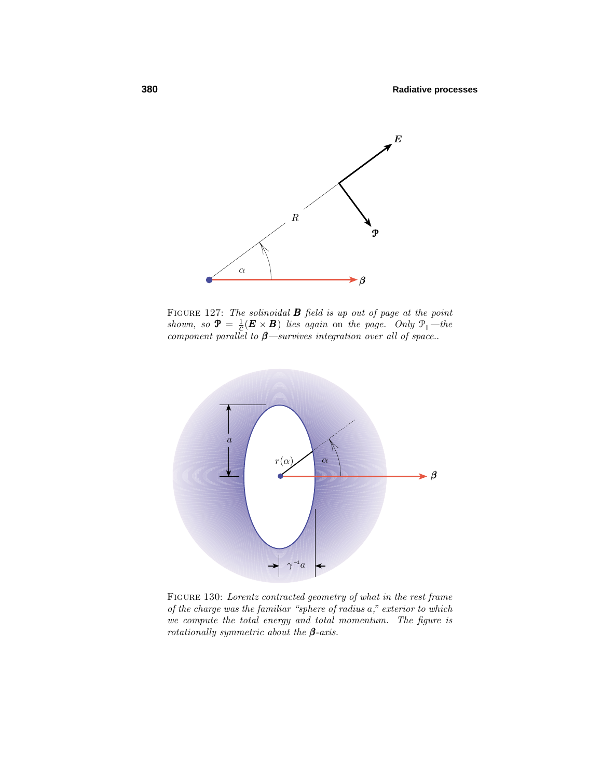

FIGURE 127: The solinoidal **B** field is up out of page at the point shown, so  $\mathbf{\mathcal{P}} = \frac{1}{c} (\mathbf{E} \times \mathbf{B})$  lies again on the page. Only  $\mathcal{P}_{\parallel}$  -the component parallel to *β*—survives integration over all of space..



Figure 130: Lorentz contracted geometry of what in the rest frame of the charge was the familiar "sphere of radius *a*," exterior to which we compute the total energy and total momentum. The figure is rotationally symmetric about the *β*-axis.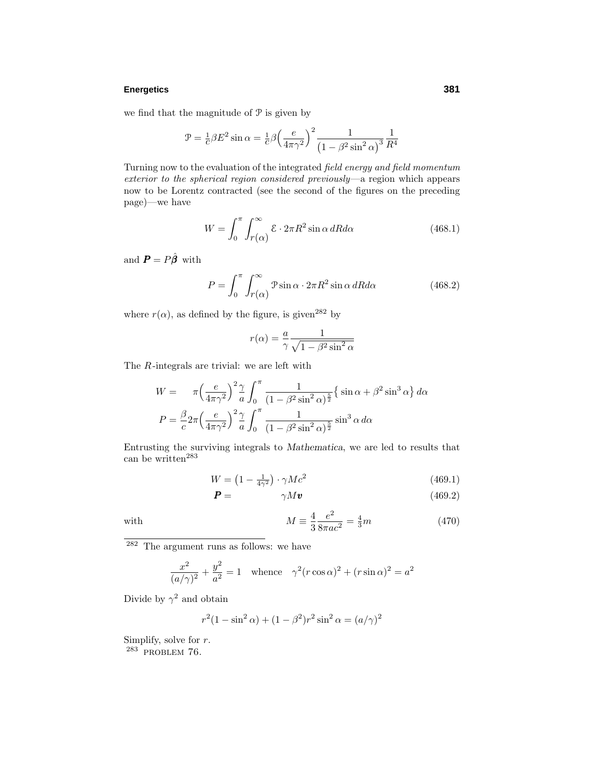#### **Energetics 381**

we find that the magnitude of  $P$  is given by

$$
\mathcal{P} = \frac{1}{c} \beta E^2 \sin \alpha = \frac{1}{c} \beta \left( \frac{e}{4\pi \gamma^2} \right)^2 \frac{1}{\left( 1 - \beta^2 \sin^2 \alpha \right)^3} \frac{1}{R^4}
$$

Turning now to the evaluation of the integrated field energy and field momentum exterior to the spherical region considered previously—a region which appears now to be Lorentz contracted (see the second of the figures on the preceding page)—we have

$$
W = \int_0^{\pi} \int_{r(\alpha)}^{\infty} \mathcal{E} \cdot 2\pi R^2 \sin \alpha \, dR d\alpha \tag{468.1}
$$

and  $\boldsymbol{P} = P \hat{\boldsymbol{\beta}}$  with

$$
P = \int_0^{\pi} \int_{r(\alpha)}^{\infty} \mathcal{P} \sin \alpha \cdot 2\pi R^2 \sin \alpha \, dR d\alpha \qquad (468.2)
$$

where  $r(\alpha)$ , as defined by the figure, is given<sup>282</sup> by

$$
r(\alpha) = \frac{a}{\gamma} \frac{1}{\sqrt{1 - \beta^2 \sin^2 \alpha}}
$$

The *R*-integrals are trivial: we are left with

$$
W = \pi \left(\frac{e}{4\pi\gamma^2}\right)^2 \frac{\gamma}{a} \int_0^\pi \frac{1}{(1 - \beta^2 \sin^2 \alpha)^{\frac{5}{2}}} \left\{ \sin \alpha + \beta^2 \sin^3 \alpha \right\} d\alpha
$$

$$
P = \frac{\beta}{c} 2\pi \left(\frac{e}{4\pi\gamma^2}\right)^2 \frac{\gamma}{a} \int_0^\pi \frac{1}{(1 - \beta^2 \sin^2 \alpha)^{\frac{5}{2}}} \sin^3 \alpha \, d\alpha
$$

Entrusting the surviving integrals to *Mathematica*, we are led to results that can be written<sup>283</sup>

$$
W = \left(1 - \frac{1}{4\gamma^2}\right) \cdot \gamma Mc^2 \tag{469.1}
$$

$$
\boldsymbol{P} = \gamma M \boldsymbol{v} \tag{469.2}
$$

with 
$$
M \equiv \frac{4}{3} \frac{e^2}{8\pi ac^2} = \frac{4}{3}m
$$
 (470)

<sup>282</sup> The argument runs as follows: we have

$$
\frac{x^2}{(a/\gamma)^2} + \frac{y^2}{a^2} = 1 \quad \text{whence} \quad \gamma^2 (r \cos \alpha)^2 + (r \sin \alpha)^2 = a^2
$$

Divide by  $\gamma^2$  and obtain

$$
r^{2}(1 - \sin^{2} \alpha) + (1 - \beta^{2})r^{2} \sin^{2} \alpha = (a/\gamma)^{2}
$$

Simplify, solve for *r*.

<sup>283</sup> PROBLEM 76.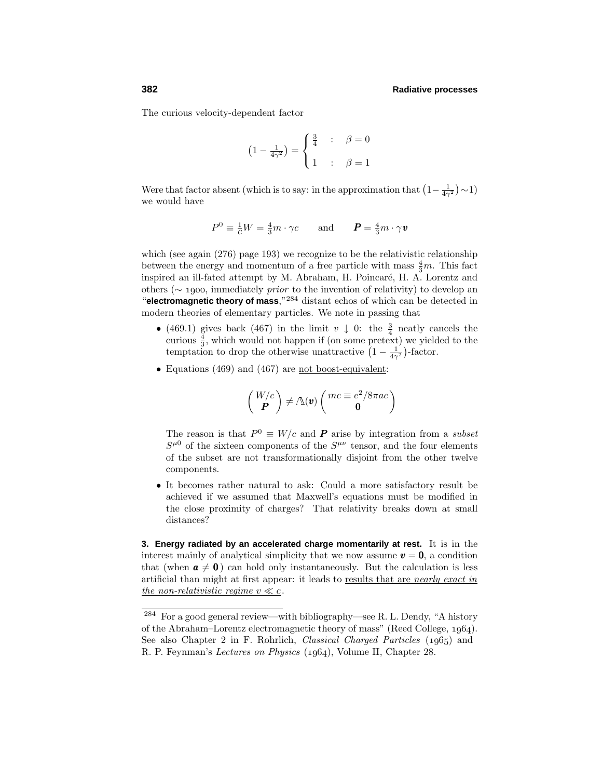The curious velocity-dependent factor

$$
(1 - \frac{1}{4\gamma^2}) = \begin{cases} \frac{3}{4} & \text{: } \beta = 0 \\ 1 & \text{: } \beta = 1 \end{cases}
$$

Were that factor absent (which is to say: in the approximation that  $\left(1 - \frac{1}{4\gamma^2}\right) \sim 1$ ) we would have

$$
P^{0} \equiv \frac{1}{c}W = \frac{4}{3}m \cdot \gamma c \quad \text{and} \quad P = \frac{4}{3}m \cdot \gamma v
$$

which (see again  $(276)$  page 193) we recognize to be the relativistic relationship between the energy and momentum of a free particle with mass  $\frac{4}{3}m$ . This fact inspired an ill-fated attempt by M. Abraham, H. Poincaré, H. A. Lorentz and others ( $\sim$  1900, immediately *prior* to the invention of relativity) to develop an "**electromagnetic theory of mass**,"<sup>284</sup> distant echos of which can be detected in modern theories of elementary particles. We note in passing that

- (469.1) gives back (467) in the limit  $v \downarrow 0$ : the  $\frac{3}{4}$  neatly cancels the curious  $\frac{4}{3}$ , which would not happen if (on some pretext) we yielded to the temptation to drop the otherwise unattractive  $(1 - \frac{1}{4\gamma^2})$ -factor.
- Equations (469) and (467) are not boost-equivalent:

$$
\left(\begin{array}{c} W/c \\ \textbf{\textit{P}} \end{array}\right) \neq \Lambda(\textbf{\textit{v}})\left(\begin{array}{c} mc \equiv e^2/8\pi ac \\ \textbf{0} \end{array}\right)
$$

The reason is that  $P^0 \equiv W/c$  and **P** arise by integration from a *subset*  $S^{\mu 0}$  of the sixteen components of the  $S^{\mu\nu}$  tensor, and the four elements of the subset are not transformationally disjoint from the other twelve components.

• It becomes rather natural to ask: Could a more satisfactory result be achieved if we assumed that Maxwell's equations must be modified in the close proximity of charges? That relativity breaks down at small distances?

**3. Energy radiated by an accelerated charge momentarily at rest.** It is in the interest mainly of analytical simplicity that we now assume  $v = 0$ , a condition that (when  $a \neq 0$ ) can hold only instantaneously. But the calculation is less artificial than might at first appear: it leads to results that are nearly exact in the non-relativistic regime  $v \ll c$ .

<sup>284</sup> For a good general review—with bibliography—see R. L. Dendy, "A history of the Abraham–Lorentz electromagnetic theory of mass" (Reed College,  $1964$ ). See also Chapter 2 in F. Rohrlich, *Classical Charged Particles*  $(1965)$  and R. P. Feynman's Lectures on Physics (1964), Volume II, Chapter 28.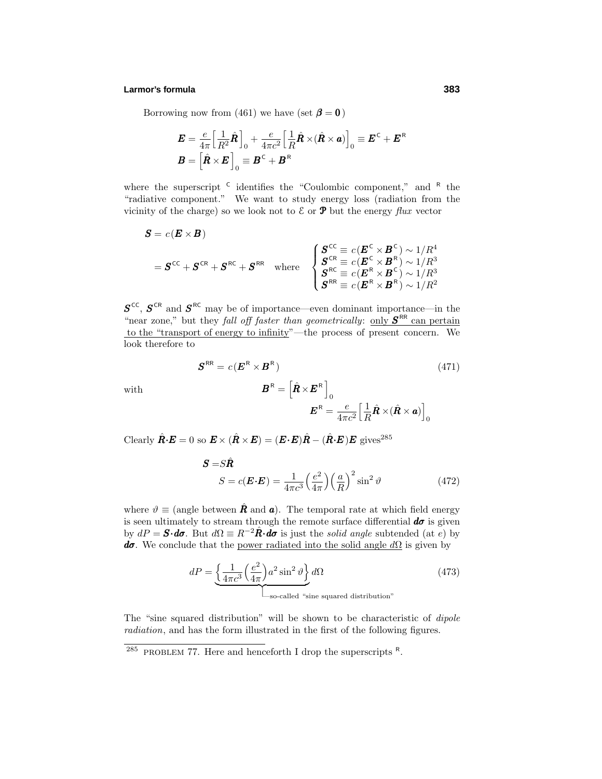#### **Larmor's formula 383**

Borrowing now from (461) we have (set  $\beta = 0$ )

$$
\mathbf{E} = \frac{e}{4\pi} \Big[ \frac{1}{R^2} \hat{\mathbf{R}} \Big]_0 + \frac{e}{4\pi c^2} \Big[ \frac{1}{R} \hat{\mathbf{R}} \times (\hat{\mathbf{R}} \times \mathbf{a}) \Big]_0 \equiv \mathbf{E}^{\mathsf{C}} + \mathbf{E}^{\mathsf{R}}
$$

$$
\mathbf{B} = \Big[ \hat{\mathbf{R}} \times \mathbf{E} \Big]_0 \equiv \mathbf{B}^{\mathsf{C}} + \mathbf{B}^{\mathsf{R}}
$$

where the superscript  $C$  identifies the "Coulombic component," and  $R$  the "radiative component." We want to study energy loss (radiation from the vicinity of the charge) so we look not to  $\mathcal E$  or  $\mathbf P$  but the energy flux vector

$$
S = c(E \times B)
$$
  
=  $S^{CC} + S^{CR} + S^{RC} + S^{RR}$  where 
$$
\begin{cases} S^{CC} = c(E^{C} \times B^{C}) \sim 1/R^{4} \\ S^{CR} = c(E^{C} \times B^{R}) \sim 1/R^{3} \\ S^{RC} = c(E^{R} \times B^{C}) \sim 1/R^{3} \\ S^{RR} = c(E^{R} \times B^{R}) \sim 1/R^{2} \end{cases}
$$

 $S^{\text{CC}}$ ,  $S^{\text{CR}}$  and  $S^{\text{RC}}$  may be of importance—even dominant importance—in the "near zone," but they *fall off faster than geometrically:* only  $S^{RR}$  can pertain to the "transport of energy to infinity"—the process of present concern. We look therefore to

with  
\n
$$
\mathbf{S}^{\text{RR}} = c(\mathbf{E}^{\text{R}} \times \mathbf{B}^{\text{R}})
$$
\n
$$
\mathbf{B}^{\text{R}} = \left[\hat{\mathbf{R}} \times \mathbf{E}^{\text{R}}\right]_{0}
$$
\n
$$
\mathbf{E}^{\text{R}} = \frac{e}{4\pi c^{2}} \left[\frac{1}{R}\hat{\mathbf{R}} \times (\hat{\mathbf{R}} \times \mathbf{a})\right]_{0}
$$
\n(471)

 $\text{Clearly } \hat{\mathbf{R}} \cdot \mathbf{E} = 0 \text{ so } \mathbf{E} \times (\hat{\mathbf{R}} \times \mathbf{E}) = (\mathbf{E} \cdot \mathbf{E}) \hat{\mathbf{R}} - (\hat{\mathbf{R}} \cdot \mathbf{E}) \mathbf{E} \text{ gives}^{285}$ 

$$
\mathbf{S} = S\hat{\mathbf{R}}
$$
  

$$
S = c(\mathbf{E} \cdot \mathbf{E}) = \frac{1}{4\pi c^3} \left(\frac{e^2}{4\pi}\right) \left(\frac{a}{R}\right)^2 \sin^2 \vartheta
$$
 (472)

where  $\vartheta \equiv$  (angle between  $\hat{\mathbf{R}}$  and  $\mathbf{a}$ ). The temporal rate at which field energy is seen ultimately to stream through the remote surface differential  $d\sigma$  is given by  $dP = \mathbf{S} \cdot d\mathbf{\sigma}$ . But  $d\Omega \equiv R^{-2} \hat{\mathbf{R}} \cdot d\mathbf{\sigma}$  is just the *solid angle* subtended (at *e*) by *dσ*. We conclude that the power radiated into the solid angle  $d\Omega$  is given by

$$
dP = \underbrace{\left\{ \frac{1}{4\pi c^3} \left( \frac{e^2}{4\pi} \right) a^2 \sin^2 \vartheta \right\}}_{\text{So-called "sine squared distribution"}}
$$
(473)

The "sine squared distribution" will be shown to be characteristic of dipole radiation, and has the form illustrated in the first of the following figures.

<sup>&</sup>lt;sup>285</sup> PROBLEM 77. Here and henceforth I drop the superscripts  $R$ .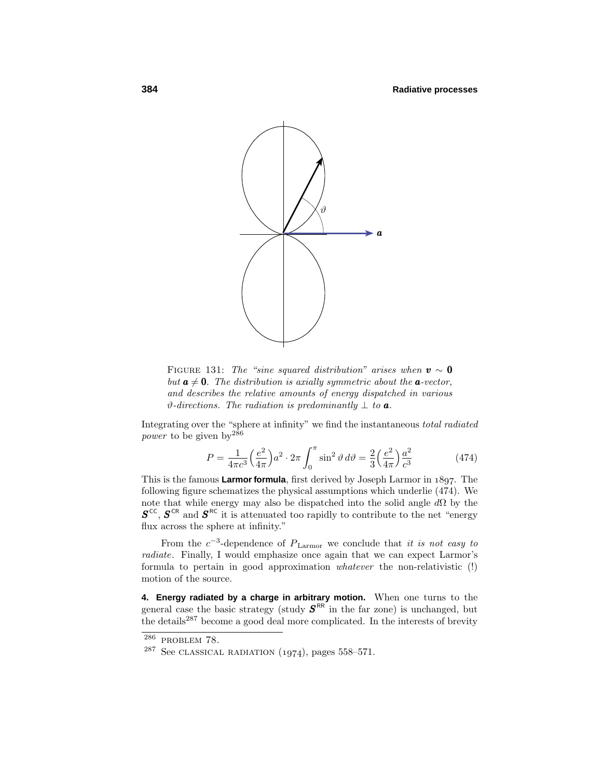

FIGURE 131: The "sine squared distribution" arises when  $v \sim 0$ but  $a \neq 0$ . The distribution is axially symmetric about the  $a$ -vector, and describes the relative amounts of energy dispatched in various  $\vartheta$ -directions. The radiation is predominantly  $\perp$  to **a**.

Integrating over the "sphere at infinity" we find the instantaneous total radiated power to be given by  $186$ 

$$
P = \frac{1}{4\pi c^3} \left(\frac{e^2}{4\pi}\right) a^2 \cdot 2\pi \int_0^\pi \sin^2 \vartheta \, d\vartheta = \frac{2}{3} \left(\frac{e^2}{4\pi}\right) \frac{a^2}{c^3} \tag{474}
$$

This is the famous **Larmor formula**, first derived by Joseph Larmor in 1897. The following figure schematizes the physical assumptions which underlie (474). We note that while energy may also be dispatched into the solid angle *d*Ω by the  $S^{\text{CC}}$ ,  $S^{\text{CR}}$  and  $S^{\text{RC}}$  it is attenuated too rapidly to contribute to the net "energy" flux across the sphere at infinity."

From the  $c^{-3}$ -dependence of  $P_{\text{Larmor}}$  we conclude that it is not easy to radiate. Finally, I would emphasize once again that we can expect Larmor's formula to pertain in good approximation whatever the non-relativistic (!) motion of the source.

**4. Energy radiated by a charge in arbitrary motion.** When one turns to the general case the basic strategy (study  $S<sup>RR</sup>$  in the far zone) is unchanged, but the details<sup>287</sup> become a good deal more complicated. In the interests of brevity

 $286$  PROBLEM 78.

 $^{287}$  See CLASSICAL RADIATION (1974), pages 558–571.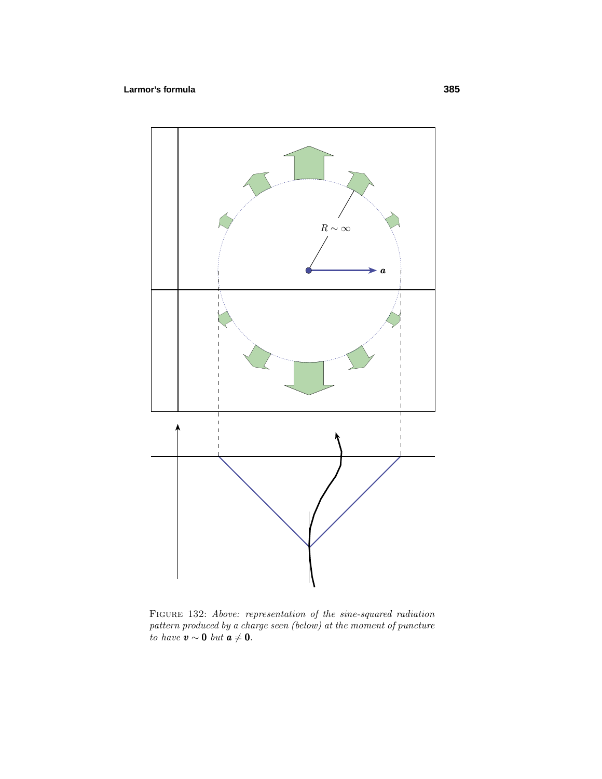# **Larmor's formula 385**



Figure 132: Above: representation of the sine-squared radiation pattern produced by a charge seen (below) at the moment of puncture to have  $\mathbf{v} \sim \mathbf{0}$  but  $\mathbf{a} \neq \mathbf{0}$ .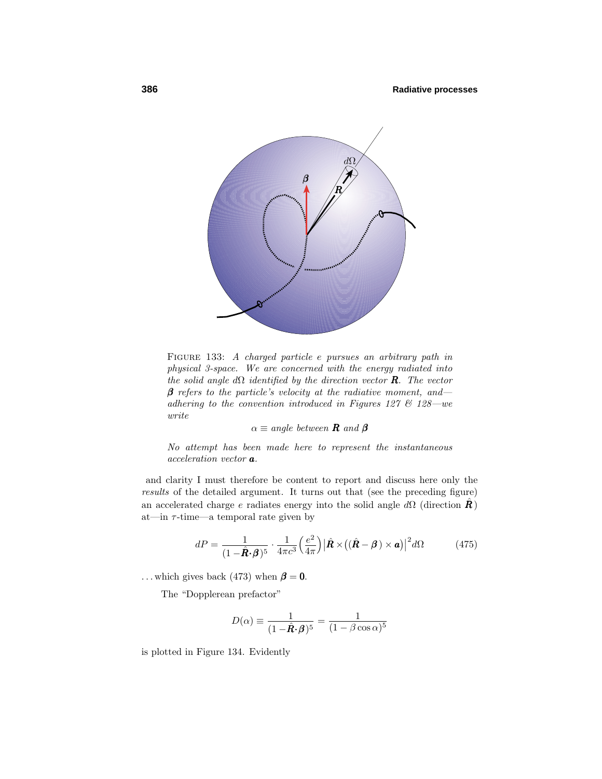

Figure 133: A charged particle *e* pursues an arbitrary path in physical 3-space. We are concerned with the energy radiated into the solid angle  $d\Omega$  identified by the direction vector **R**. The vector  $\beta$  refers to the particle's velocity at the radiative moment, and adhering to the convention introduced in Figures 127  $\&$  128 — we write

 $\alpha \equiv angle \; between \; \mathbf{R} \; and \; \mathbf{\beta}$ 

No attempt has been made here to represent the instantaneous acceleration vector *a*.

and clarity I must therefore be content to report and discuss here only the results of the detailed argument. It turns out that (see the preceding figure) an accelerated charge *e* radiates energy into the solid angle  $d\Omega$  (direction  $\hat{\mathbf{R}}$ ) at—in *τ* -time—a temporal rate given by

$$
dP = \frac{1}{(1 - \hat{\mathbf{R}} \cdot \boldsymbol{\beta})^5} \cdot \frac{1}{4\pi c^3} \left(\frac{e^2}{4\pi}\right) \left|\hat{\mathbf{R}} \times \left((\hat{\mathbf{R}} - \boldsymbol{\beta}) \times \mathbf{a}\right)\right|^2 d\Omega \tag{475}
$$

... which gives back (473) when  $\beta = 0$ .

The "Dopplerean prefactor"

$$
D(\alpha) \equiv \frac{1}{(1 - \hat{\mathbf{R}} \cdot \mathbf{\beta})^5} = \frac{1}{(1 - \beta \cos \alpha)^5}
$$

is plotted in Figure 134. Evidently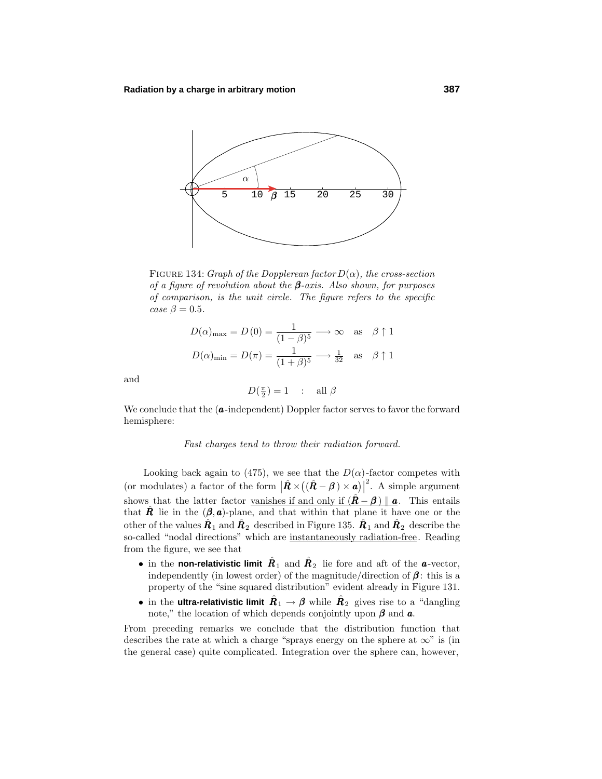

FIGURE 134: Graph of the Dopplerean factor  $D(\alpha)$ , the cross-section of a figure of revolution about the **β**-axis. Also shown, for purposes of comparison, is the unit circle. The figure refers to the specific case  $\beta = 0.5$ .

$$
D(\alpha)_{\text{max}} = D(0) = \frac{1}{(1 - \beta)^5} \longrightarrow \infty \quad \text{as} \quad \beta \uparrow 1
$$

$$
D(\alpha)_{\text{min}} = D(\pi) = \frac{1}{(1 + \beta)^5} \longrightarrow \frac{1}{32} \quad \text{as} \quad \beta \uparrow 1
$$

and

$$
D(\tfrac{\pi}{2}) = 1 \quad : \quad \text{all } \beta
$$

We conclude that the (*a*-independent) Doppler factor serves to favor the forward hemisphere:

#### Fast charges tend to throw their radiation forward.

Looking back again to (475), we see that the  $D(\alpha)$ -factor competes with (or modulates) a factor of the form  $|\hat{\mathbf{R}} \times ((\hat{\mathbf{R}} - \boldsymbol{\beta}) \times \boldsymbol{a})|^2$ . A simple argument shows that the latter factor vanishes if and only if  $(\hat{\mathbf{R}} - \boldsymbol{\beta}) \parallel \mathbf{a}$ . This entails that **R** lie in the  $(\beta, a)$ -plane, and that within that plane it have one or the other of the values  $\mathbf{R}_1$  and  $\mathbf{R}_2$  described in Figure 135.  $\mathbf{R}_1$  and  $\mathbf{R}_2$  describe the so-called "nodal directions" which are instantaneously radiation-free. Reading from the figure, we see that

- in the **non-relativistic limit**  $\hat{R}_1$  and  $\hat{R}_2$  lie fore and aft of the *a*-vector, independently (in lowest order) of the magnitude/direction of  $\beta$ : this is a property of the "sine squared distribution" evident already in Figure 131.
- in the **ultra-relativistic limit**  $\hat{R}_1 \rightarrow \beta$  while  $\hat{R}_2$  gives rise to a "dangling note," the location of which depends conjointly upon  $\beta$  and  $\alpha$ .

From preceding remarks we conclude that the distribution function that describes the rate at which a charge "sprays energy on the sphere at  $\infty$ " is (in the general case) quite complicated. Integration over the sphere can, however,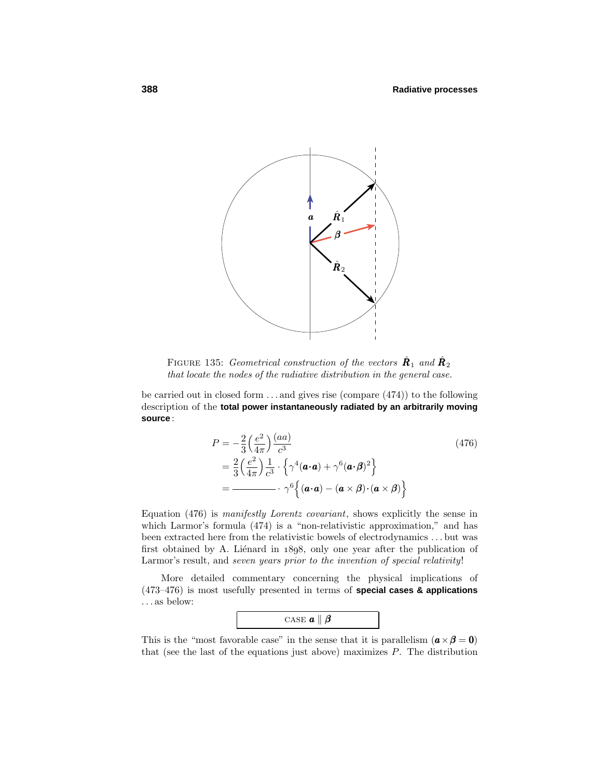

FIGURE 135: Geometrical construction of the vectors  $\hat{\mathbf{R}}_1$  and  $\hat{\mathbf{R}}_2$ that locate the nodes of the radiative distribution in the general case.

be carried out in closed form *...* and gives rise (compare (474)) to the following description of the **total power instantaneously radiated by an arbitrarily moving source** :

$$
P = -\frac{2}{3} \left( \frac{e^2}{4\pi} \right) \frac{(aa)}{c^3}
$$
  
=  $\frac{2}{3} \left( \frac{e^2}{4\pi} \right) \frac{1}{c^3} \cdot \left\{ \gamma^4 (\boldsymbol{a} \cdot \boldsymbol{a}) + \gamma^6 (\boldsymbol{a} \cdot \boldsymbol{\beta})^2 \right\}$   
=  $\frac{2}{3} \left( \frac{e^2}{4\pi} \right) \frac{1}{c^3} \cdot \gamma^6 \left\{ (\boldsymbol{a} \cdot \boldsymbol{a}) - (\boldsymbol{a} \times \boldsymbol{\beta}) \cdot (\boldsymbol{a} \times \boldsymbol{\beta}) \right\}$  (476)

Equation (476) is manifestly Lorentz covariant, shows explicitly the sense in which Larmor's formula  $(474)$  is a "non-relativistic approximation," and has been extracted here from the relativistic bowels of electrodynamics *...* but was first obtained by A. Liénard in  $1898$ , only one year after the publication of Larmor's result, and seven years prior to the invention of special relativity!

More detailed commentary concerning the physical implications of (473–476) is most usefully presented in terms of **special cases & applications** *...* as below:



This is the "most favorable case" in the sense that it is parallelism  $(a \times \beta = 0)$ that (see the last of the equations just above) maximizes *P*. The distribution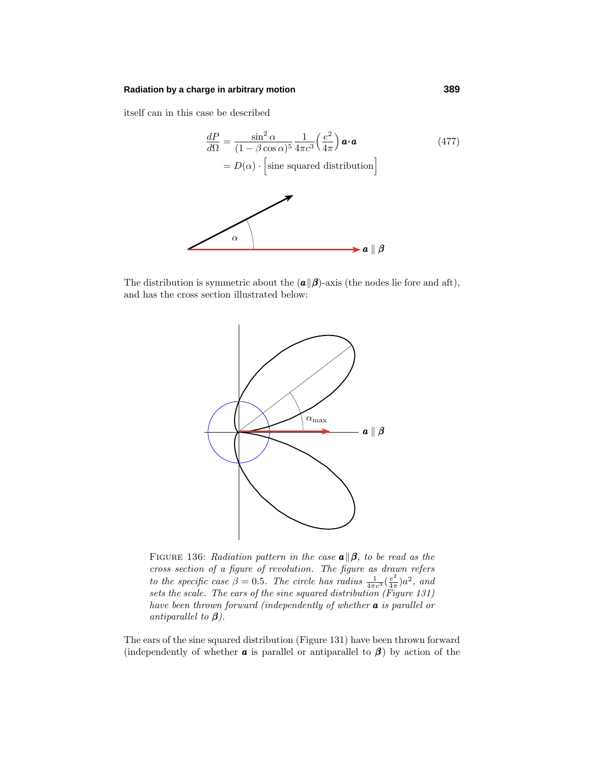#### **Radiation by a charge in arbitrary motion 389**

itself can in this case be described

$$
\frac{dP}{d\Omega} = \frac{\sin^2 \alpha}{(1 - \beta \cos \alpha)^5} \frac{1}{4\pi c^3} \left(\frac{e^2}{4\pi}\right) \mathbf{a} \cdot \mathbf{a}
$$
 (477)  
=  $D(\alpha) \cdot \left[\text{sine squared distribution}\right]$ 

The distribution is symmetric about the  $(a||\boldsymbol{\beta})$ -axis (the nodes lie fore and aft), and has the cross section illustrated below:



FIGURE 136: Radiation pattern in the case  $\mathbf{a} \parallel \boldsymbol{\beta}$ , to be read as the cross section of a figure of revolution. The figure as drawn refers to the specific case  $\beta = 0.5$ . The circle has radius  $\frac{1}{4\pi c^3}(\frac{e^2}{4\pi})a^2$ , and sets the scale. The ears of the sine squared distribution (Figure 131) have been thrown forward (independently of whether *a* is parallel or antiparallel to *β*).

The ears of the sine squared distribution (Figure 131) have been thrown forward (independently of whether **a** is parallel or antiparallel to  $\beta$ ) by action of the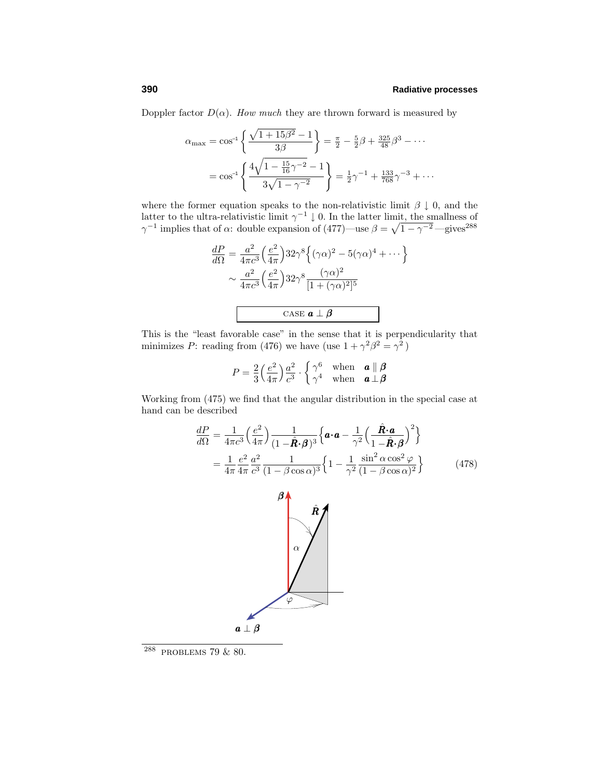Doppler factor  $D(\alpha)$ . How much they are thrown forward is measured by

$$
\alpha_{\max} = \cos^{-1}\left\{\frac{\sqrt{1+15\beta^2}-1}{3\beta}\right\} = \frac{\pi}{2} - \frac{5}{2}\beta + \frac{325}{48}\beta^3 - \cdots
$$

$$
= \cos^{-1}\left\{\frac{4\sqrt{1-\frac{15}{16}\gamma^{-2}}-1}{3\sqrt{1-\gamma^{-2}}}\right\} = \frac{1}{2}\gamma^{-1} + \frac{133}{768}\gamma^{-3} + \cdots
$$

where the former equation speaks to the non-relativistic limit  $\beta \downarrow 0$ , and the latter to the ultra-relativistic limit  $\gamma^{-1} \downarrow 0$ . In the latter limit, the smallness of *γ*<sup>−1</sup> implies that of *α*: double expansion of (477)—use  $\beta = \sqrt{1 - \gamma^{-2}}$ —gives<sup>288</sup>

$$
\frac{dP}{d\Omega} = \frac{a^2}{4\pi c^3} \left(\frac{e^2}{4\pi}\right) 32\gamma^8 \left\{ (\gamma \alpha)^2 - 5(\gamma \alpha)^4 + \cdots \right\}
$$

$$
\sim \frac{a^2}{4\pi c^3} \left(\frac{e^2}{4\pi}\right) 32\gamma^8 \frac{(\gamma \alpha)^2}{[1 + (\gamma \alpha)^2]^5}
$$

$$
\text{CASE } \mathbf{a} \perp \mathbf{\beta}
$$

This is the "least favorable case" in the sense that it is perpendicularity that minimizes *P*: reading from (476) we have (use  $1 + \gamma^2 \beta^2 = \gamma^2$ )

$$
P = \frac{2}{3} \left( \frac{e^2}{4\pi} \right) \frac{a^2}{c^3} \cdot \begin{cases} \gamma^6 & \text{when} \quad \mathbf{a} \parallel \mathbf{\beta} \\ \gamma^4 & \text{when} \quad \mathbf{a} \perp \mathbf{\beta} \end{cases}
$$

Working from (475) we find that the angular distribution in the special case at hand can be described

$$
\frac{dP}{d\Omega} = \frac{1}{4\pi c^3} \left(\frac{e^2}{4\pi}\right) \frac{1}{(1-\hat{\mathbf{R}} \cdot \mathbf{\beta})^3} \left\{ \mathbf{a} \cdot \mathbf{a} - \frac{1}{\gamma^2} \left(\frac{\hat{\mathbf{R}} \cdot \mathbf{a}}{1-\hat{\mathbf{R}} \cdot \mathbf{\beta}}\right)^2 \right\}
$$
\n
$$
= \frac{1}{4\pi} \frac{e^2}{4\pi} \frac{a^2}{4\pi} \frac{1}{c^3} \frac{1}{(1-\beta \cos \alpha)^3} \left\{ 1 - \frac{1}{\gamma^2} \frac{\sin^2 \alpha \cos^2 \varphi}{(1-\beta \cos \alpha)^2} \right\} \tag{478}
$$



<sup>288</sup> problems 79 & 80.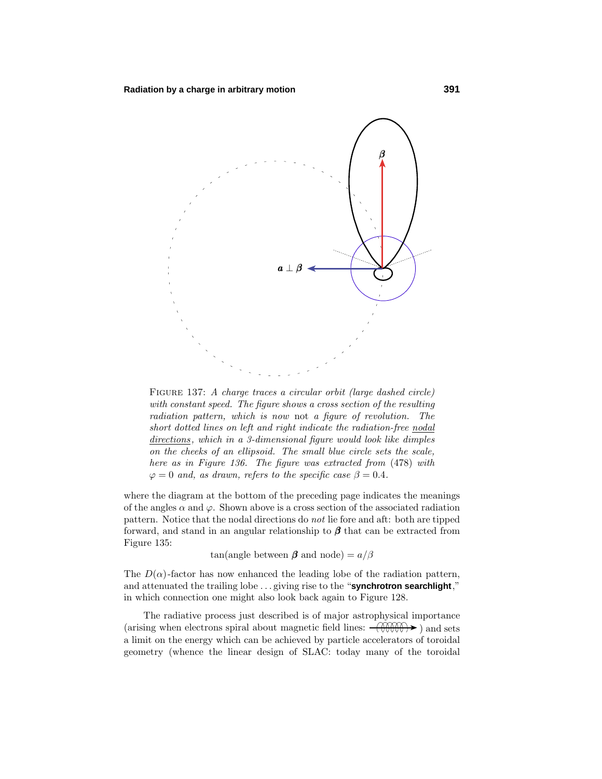

FIGURE 137: A charge traces a circular orbit (large dashed circle) with constant speed. The figure shows a cross section of the resulting radiation pattern, which is now not a figure of revolution. The short dotted lines on left and right indicate the radiation-free nodal  $directions$ , which in a 3-dimensional figure would look like dimples on the cheeks of an ellipsoid. The small blue circle sets the scale, here as in Figure 136. The figure was extracted from (478) with  $\varphi = 0$  and, as drawn, refers to the specific case  $\beta = 0.4$ .

where the diagram at the bottom of the preceding page indicates the meanings of the angles  $\alpha$  and  $\varphi$ . Shown above is a cross section of the associated radiation pattern. Notice that the nodal directions do not lie fore and aft: both are tipped forward, and stand in an angular relationship to  $\beta$  that can be extracted from Figure 135:

tan(angle between  $\beta$  and node) =  $a/\beta$ 

The  $D(\alpha)$ -factor has now enhanced the leading lobe of the radiation pattern, and attenuated the trailing lobe *...* giving rise to the "**synchrotron searchlight**," in which connection one might also look back again to Figure 128.

The radiative process just described is of major astrophysical importance (arising when electrons spiral about magnetic field lines:  $-\left(\frac{\partial \mathcal{H}}{\partial x}\right)$ ) and sets a limit on the energy which can be achieved by particle accelerators of toroidal geometry (whence the linear design of SLAC: today many of the toroidal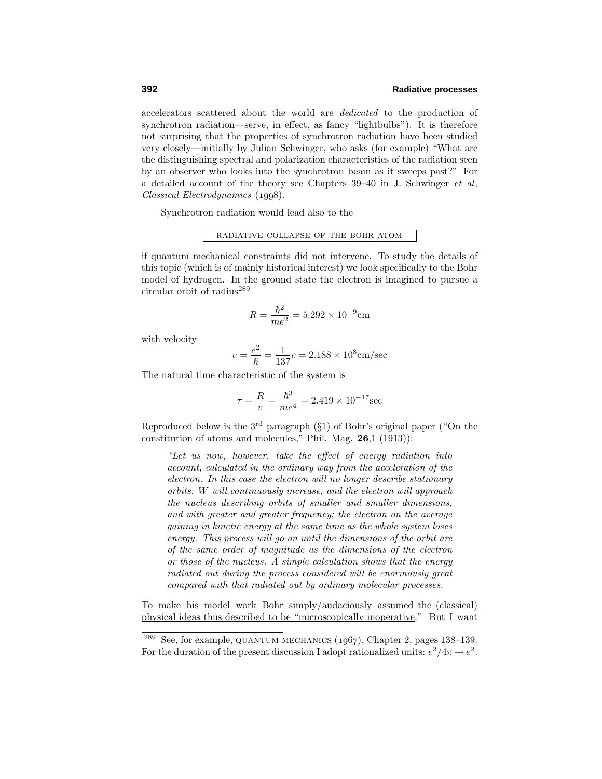accelerators scattered about the world are dedicated to the production of synchrotron radiation—serve, in effect, as fancy "lightbulbs"). It is therefore not surprising that the properties of synchrotron radiation have been studied very closely—initially by Julian Schwinger, who asks (for example) "What are the distinguishing spectral and polarization characteristics of the radiation seen by an observer who looks into the synchrotron beam as it sweeps past?" For a detailed account of the theory see Chapters 39–40 in J. Schwinger et al,  $Classical \ Electrodynamics (1998).$ 

Synchrotron radiation would lead also to the

# radiative collapse of the bohr atom

if quantum mechanical constraints did not intervene. To study the details of this topic (which is of mainly historical interest) we look specifically to the Bohr model of hydrogen. In the ground state the electron is imagined to pursue a circular orbit of radius<sup>289</sup>

$$
R = \frac{\hbar^2}{me^2} = 5.292 \times 10^{-9} \text{cm}
$$

with velocity

$$
v = \frac{e^2}{\hbar} = \frac{1}{137}c = 2.188 \times 10^8 \text{cm/sec}
$$

The natural time characteristic of the system is

$$
\tau = \frac{R}{v} = \frac{\hbar^3}{me^4} = 2.419 \times 10^{-17} \text{sec}
$$

Reproduced below is the  $3<sup>rd</sup>$  paragraph (§1) of Bohr's original paper ("On the constitution of atoms and molecules," Phil. Mag. **26**,1 (1913)):

"Let us now, however, take the effect of energy radiation into account, calculated in the ordinary way from the acceleration of the electron. In this case the electron will no longer describe stationary orbits. W will continuously increase, and the electron will approach the nucleus describing orbits of smaller and smaller dimensions, and with greater and greater frequency; the electron on the average gaining in kinetic energy at the same time as the whole system loses energy. This process will go on until the dimensions of the orbit are of the same order of magnitude as the dimensions of the electron or those of the nucleus. A simple calculation shows that the energy radiated out during the process considered will be enormously great compared with that radiated out by ordinary molecular processes.

To make his model work Bohr simply/audaciously assumed the (classical) physical ideas thus described to be "microscopically inoperative." But I want

<sup>&</sup>lt;sup>289</sup> See, for example, QUANTUM MECHANICS  $(1067)$ , Chapter 2, pages 138–139. For the duration of the present discussion I adopt rationalized units:  $e^2/4\pi \rightarrow e^2$ .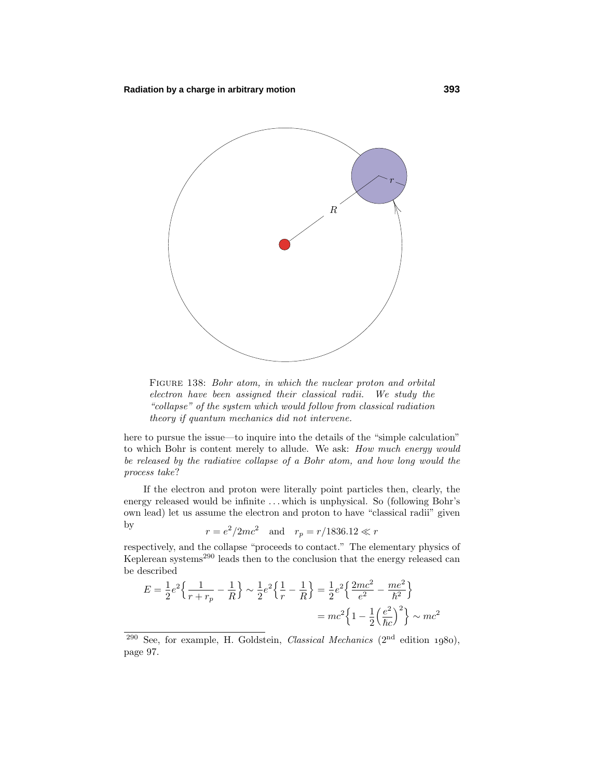

FIGURE 138: Bohr atom, in which the nuclear proton and orbital electron have been assigned their classical radii. We study the "collapse" of the system which would follow from classical radiation theory if quantum mechanics did not intervene.

here to pursue the issue—to inquire into the details of the "simple calculation" to which Bohr is content merely to allude. We ask: How much energy would be released by the radiative collapse of a Bohr atom, and how long would the process take?

If the electron and proton were literally point particles then, clearly, the energy released would be infinite ... which is unphysical. So (following Bohr's own lead) let us assume the electron and proton to have "classical radii" given by

$$
r = e^2/2mc^2
$$
 and  $r_p = r/1836.12 \ll r$ 

respectively, and the collapse "proceeds to contact." The elementary physics of Keplerean systems<sup>290</sup> leads then to the conclusion that the energy released can be described

$$
E = \frac{1}{2}e^2 \left\{ \frac{1}{r+r_p} - \frac{1}{R} \right\} \sim \frac{1}{2}e^2 \left\{ \frac{1}{r} - \frac{1}{R} \right\} = \frac{1}{2}e^2 \left\{ \frac{2mc^2}{e^2} - \frac{me^2}{\hbar^2} \right\}
$$

$$
= mc^2 \left\{ 1 - \frac{1}{2} \left( \frac{e^2}{\hbar c} \right)^2 \right\} \sim mc^2
$$

 $290$  See, for example, H. Goldstein, *Classical Mechanics* ( $2<sup>nd</sup>$  edition 1980), page 97.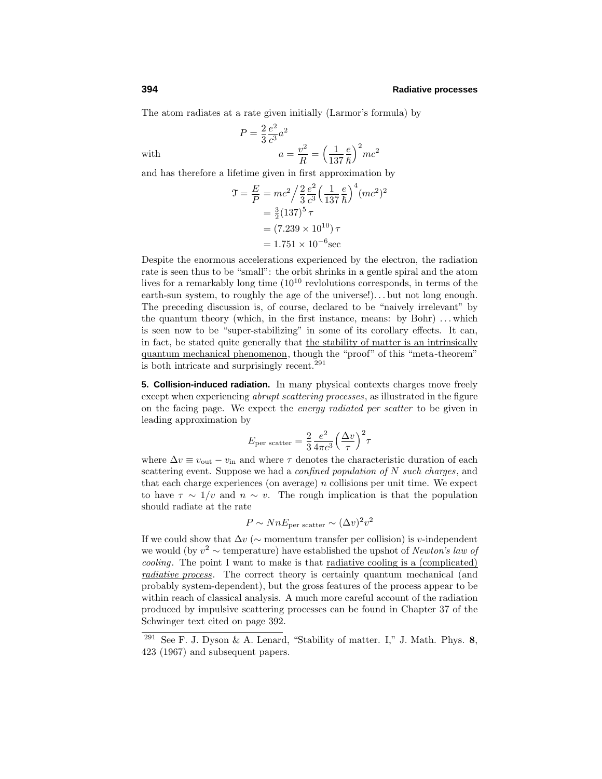The atom radiates at a rate given initially (Larmor's formula) by

$$
P = \frac{2}{3} \frac{e^2}{c^3} a^2
$$
  
with 
$$
a = \frac{v^2}{R} = \left(\frac{1}{137} \frac{e}{\hbar}\right)^2 mc^2
$$

and has therefore a lifetime given in first approximation by

$$
\mathcal{T} = \frac{E}{P} = mc^2 / \frac{2}{3} \frac{e^2}{c^3} \left(\frac{1}{137} \frac{e}{\hbar}\right)^4 (mc^2)^2
$$

$$
= \frac{3}{2} (137)^5 \tau
$$

$$
= (7.239 \times 10^{10}) \tau
$$

$$
= 1.751 \times 10^{-6} \text{sec}
$$

Despite the enormous accelerations experienced by the electron, the radiation rate is seen thus to be "small": the orbit shrinks in a gentle spiral and the atom lives for a remarkably long time  $(10^{10}$  revlolutions corresponds, in terms of the earth-sun system, to roughly the age of the universe!)...but not long enough. The preceding discussion is, of course, declared to be "naively irrelevant" by the quantum theory (which, in the first instance, means: by Bohr) *...* which is seen now to be "super-stabilizing" in some of its corollary effects. It can, in fact, be stated quite generally that the stability of matter is an intrinsically quantum mechanical phenomenon, though the "proof" of this "meta-theorem" is both intricate and surprisingly recent.<sup>291</sup>

**5. Collision-induced radiation.** In many physical contexts charges move freely except when experiencing *abrupt scattering processes*, as illustrated in the figure on the facing page. We expect the energy radiated per scatter to be given in leading approximation by

$$
E_{\text{per scatter}} = \frac{2}{3} \frac{e^2}{4\pi c^3} \left(\frac{\Delta v}{\tau}\right)^2 \tau
$$

where  $\Delta v \equiv v_{\text{out}} - v_{\text{in}}$  and where  $\tau$  denotes the characteristic duration of each scattering event. Suppose we had a *confined population of N* such charges, and that each charge experiences (on average) *n* collisions per unit time. We expect to have  $\tau \sim 1/v$  and  $n \sim v$ . The rough implication is that the population should radiate at the rate

$$
P \sim N n E_{\text{per scatter}} \sim (\Delta v)^2 v^2
$$

If we could show that  $\Delta v$  ( $\sim$  momentum transfer per collision) is *v*-independent we would (by  $v^2 \sim$  temperature) have established the upshot of *Newton's law of cooling*. The point I want to make is that <u>radiative cooling is a (complicated)</u> radiative process. The correct theory is certainly quantum mechanical (and probably system-dependent), but the gross features of the process appear to be within reach of classical analysis. A much more careful account of the radiation produced by impulsive scatteringprocesses can be found in Chapter 37 of the Schwinger text cited on page 392.

<sup>291</sup> See F. J. Dyson & A. Lenard, "Stability of matter. I," J. Math. Phys. **8**, 423 (1967) and subsequent papers.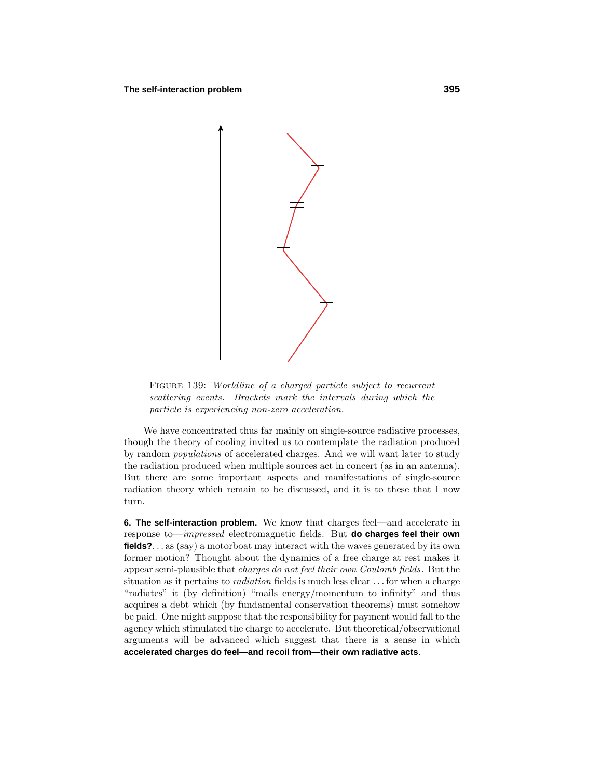

FIGURE 139: Worldline of a charged particle subject to recurrent scattering events. Brackets mark the intervals during which the particle is experiencing non-zero acceleration.

We have concentrated thus far mainly on single-source radiative processes, though the theory of cooling invited us to contemplate the radiation produced by random populations of accelerated charges. And we will want later to study the radiation produced when multiple sources act in concert (as in an antenna). But there are some important aspects and manifestations of single-source radiation theory which remain to be discussed, and it is to these that I now turn.

**6. The self-interaction problem.** We know that charges feel—and accelerate in response to—impressed electromagnetic fields. But **do charges feel their own fields?***...* as (say) a motorboat may interact with the waves generated by its own former motion? Thought about the dynamics of a free charge at rest makes it appear semi-plausible that charges do not feel their own Coulomb fields. But the situation as it pertains to radiation fields is much less clear *...* for when a charge "radiates" it (by definition) "mails energy/momentum to infinity" and thus acquires a debt which (by fundamental conservation theorems) must somehow be paid. One might suppose that the responsibility for payment would fall to the agency which stimulated the charge to accelerate. But theoretical/observational arguments will be advanced which suggest that there is a sense in which **accelerated charges do feel—and recoil from—their own radiative acts**.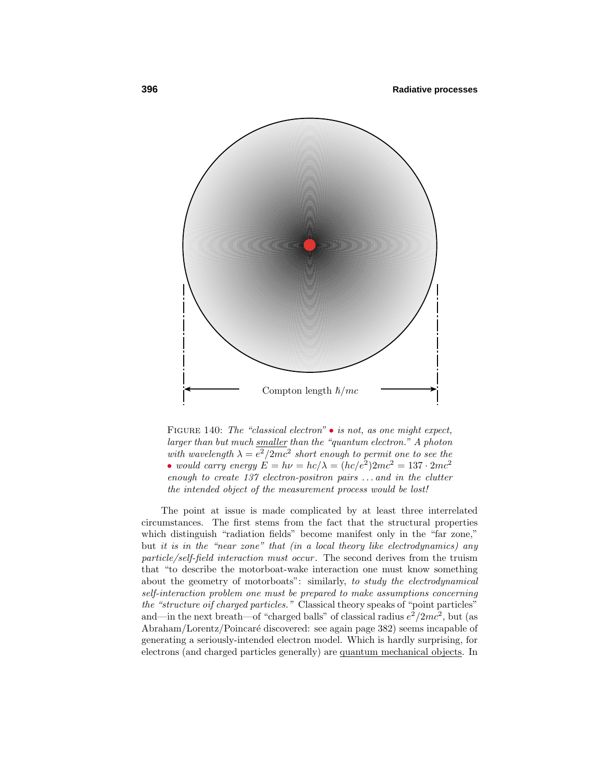

FIGURE 140: The "classical electron"  $\bullet$  is not, as one might expect, larger than but much smaller than the "quantum electron." A photon with wavelength  $\lambda = e^2/2mc^2$  short enough to permit one to see the • would carry energy  $E = h\nu = hc/\lambda = (hc/e^2)2mc^2 = 137 \cdot 2mc^2$ enough to create 137 electron-positron pairs *...* and in the clutter the intended object of the measurement process would be lost!

The point at issue is made complicated by at least three interrelated circumstances. The first stems from the fact that the structural properties which distinguish "radiation fields" become manifest only in the "far zone," but it is in the "near zone" that (in a local theory like electrodynamics) any particle/self-field interaction must occur. The second derives from the truism that "to describe the motorboat-wake interaction one must know something about the geometry of motorboats": similarly, to study the electrodynamical self-interaction problem one must be prepared to make assumptions concerning the "structure oif charged particles." Classical theory speaks of "point particles" and—in the next breath—of "charged balls" of classical radius  $e^2/2mc^2$ , but (as Abraham/Lorentz/Poincaré discovered: see again page 382) seems incapable of generating a seriously-intended electron model. Which is hardly surprising, for electrons (and charged particles generally) are quantum mechanical objects. In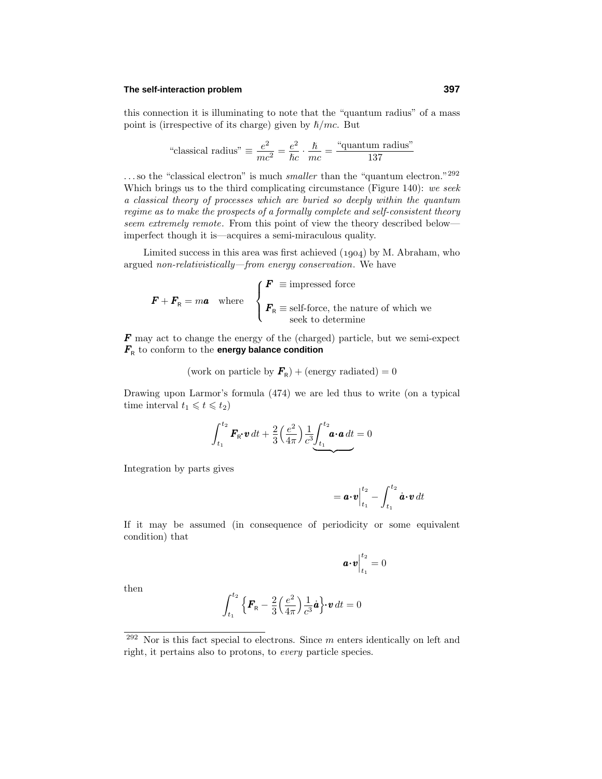#### **The self-interaction problem 397**

this connection it is illuminating to note that the "quantum radius" of a mass point is (irrespective of its charge) given by  $\hbar/mc$ . But

"classical radius" 
$$
\equiv \frac{e^2}{mc^2} = \frac{e^2}{\hbar c} \cdot \frac{\hbar}{mc} = \frac{\text{``quantum radius''}}{137}
$$

...so the "classical electron" is much *smaller* than the "quantum electron."<sup>292</sup> Which brings us to the third complicating circumstance (Figure 140): we seek a classical theory of processes which are buried so deeply within the quantum regime as to make the prospects of a formally complete and self-consistent theory seem extremely remote. From this point of view the theory described below imperfect though it is—acquires a semi-miraculous quality.

Limited success in this area was first achieved  $(1904)$  by M. Abraham, who argued non-relativistically—from energy conservation. We have

$$
\boldsymbol{F} + \boldsymbol{F}_{\text{R}} = m\boldsymbol{a} \quad \text{where} \quad \begin{cases} \boldsymbol{F} \equiv \text{impressed force} \\ \boldsymbol{F}_{\text{R}} \equiv \text{self-force, the nature of which we} \\ \text{seek to determine} \end{cases}
$$

*F* may act to change the energy of the (charged) particle, but we semi-expect  $F_R$  to conform to the **energy balance condition** 

(work on particle by  $\mathbf{F}_{\rm R}$ ) + (energy radiated) = 0

Drawing upon Larmor's formula  $(474)$  we are led thus to write (on a typical time interval  $t_1 \leq t \leq t_2$ 

$$
\int_{t_1}^{t_2} \boldsymbol{F}_{\mathsf{R}} \boldsymbol{\cdot} \boldsymbol{v} \, dt + \frac{2}{3} \left( \frac{e^2}{4\pi} \right) \frac{1}{c^3} \underbrace{\int_{t_1}^{t_2} \boldsymbol{a} \cdot \boldsymbol{a} \, dt}_{\boldsymbol{\cdot}} = 0
$$

Integration by parts gives

$$
= \boldsymbol{a} \boldsymbol{\cdot} \boldsymbol{v} \Big|_{t_1}^{t_2} - \int_{t_1}^{t_2} \dot{\boldsymbol{a}} \boldsymbol{\cdot} \boldsymbol{v} \, dt
$$

If it may be assumed (in consequence of periodicity or some equivalent condition) that

$$
\boldsymbol{a}{\cdot}\boldsymbol{v}\Big|_{t_1}^{t_2}=0
$$

then

$$
\int_{t_1}^{t_2} \left\{ \mathbf{F}_{\mathsf{R}} - \frac{2}{3} \left( \frac{e^2}{4\pi} \right) \frac{1}{c^3} \dot{\mathbf{a}} \right\} \mathbf{v} \, dt = 0
$$

<sup>292</sup> Nor is this fact special to electrons. Since *m* enters identically on left and right, it pertains also to protons, to every particle species.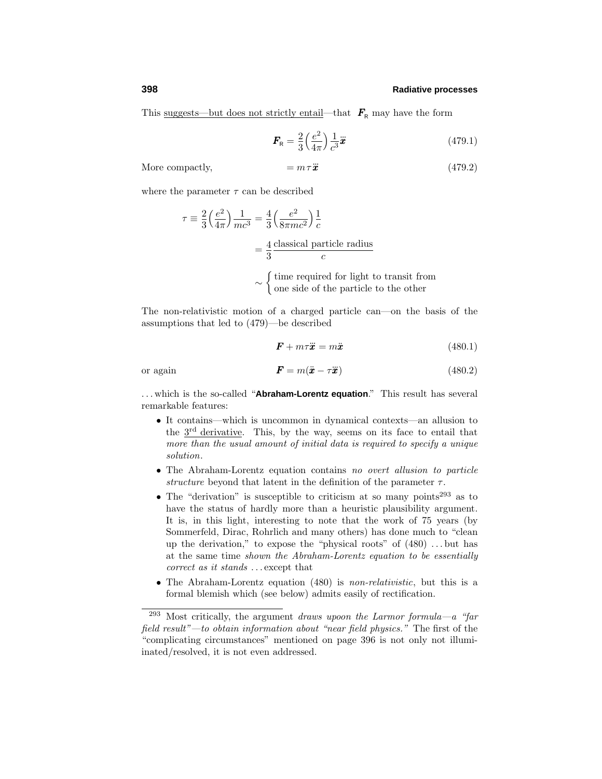This <u>suggests—but does not strictly entail</u>—that  $\mathbf{F}_{\text{R}}$  may have the form

$$
\boldsymbol{F}_{\rm R} = \frac{2}{3} \left( \frac{e^2}{4\pi} \right) \frac{1}{c^3} \ddot{\boldsymbol{x}} \tag{479.1}
$$

More compactly,

$$
= m\,\tau\ddot{x} \tag{479.2}
$$

where the parameter  $\tau$  can be described

$$
\tau = \frac{2}{3} \left( \frac{e^2}{4\pi} \right) \frac{1}{mc^3} = \frac{4}{3} \left( \frac{e^2}{8\pi mc^2} \right) \frac{1}{c}
$$

$$
= \frac{4}{3} \frac{\text{classical particle radius}}{c}
$$

$$
\sim \begin{cases} \text{time required for light to transit from} \\ \text{one side of the particle to the other} \end{cases}
$$

The non-relativistic motion of a charged particle can—on the basis of the assumptions that led to (479)—be described

$$
\mathbf{F} + m\tau \ddot{\mathbf{x}} = m\ddot{\mathbf{x}} \tag{480.1}
$$

or again **F**  $\int$   $\int$   $\frac{1}{2}$   $\int$   $\frac{1}{2}$   $\int$   $\frac{1}{2}$   $\int$   $\frac{1}{2}$   $\int$   $\frac{1}{2}$   $\int$   $\frac{1}{2}$   $\int$   $\frac{1}{2}$   $\int$   $\frac{1}{2}$   $\int$   $\frac{1}{2}$   $\int$   $\frac{1}{2}$   $\int$   $\frac{1}{2}$   $\int$   $\frac{1}{2}$   $\int$   $\frac{1}{2}$   $\int$   $\frac{$ 

$$
\mathbf{F} = m(\ddot{\mathbf{x}} - \tau \ddot{\mathbf{x}}) \tag{480.2}
$$

*...* which is the so-called "**Abraham-Lorentz equation**." This result has several remarkable features:

- It contains—which is uncommon in dynamical contexts—an allusion to the  $3<sup>rd</sup>$  derivative. This, by the way, seems on its face to entail that more than the usual amount of initial data is required to specify a unique solution.
- The Abraham-Lorentz equation contains no overt allusion to particle structure beyond that latent in the definition of the parameter  $\tau$ .
- The "derivation" is susceptible to criticism at so many points<sup>293</sup> as to have the status of hardly more than a heuristic plausibility argument. It is, in this light, interesting to note that the work of 75 years (by Sommerfeld, Dirac, Rohrlich and many others) has done much to "clean up the derivation," to expose the "physical roots" of (480) *...* but has at the same time shown the Abraham-Lorentz equation to be essentially correct as it stands *...* except that
- The Abraham-Lorentz equation (480) is *non-relativistic*, but this is a formal blemish which (see below) admits easily of rectification.

 $^{293}$  Most critically, the argument draws upoon the Larmor formula—a "far field result"—to obtain information about "near field physics." The first of the "complicating circumstances" mentioned on page 396 is not only not illumiinated/resolved, it is not even addressed.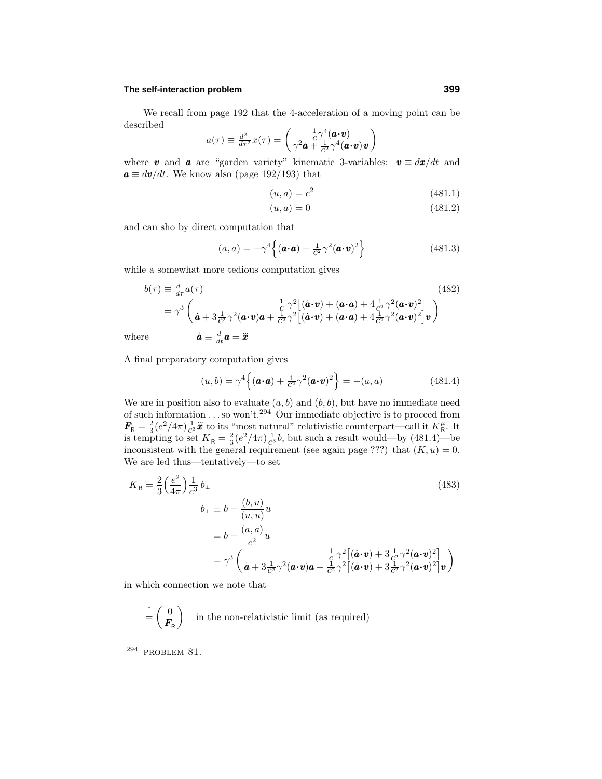#### **The self-interaction problem 399**

We recall from page 192 that the 4-acceleration of a moving point can be described

$$
a(\tau) \equiv \frac{d^2}{d\tau^2} x(\tau) = \begin{pmatrix} \frac{1}{C} \gamma^4 (\boldsymbol{a} \cdot \boldsymbol{v}) \\ \gamma^2 \boldsymbol{a} + \frac{1}{C^2} \gamma^4 (\boldsymbol{a} \cdot \boldsymbol{v}) \boldsymbol{v} \end{pmatrix}
$$

where **v** and **a** are "garden variety" kinematic 3-variables:  $v \equiv dx/dt$  and  $a \equiv dv/dt$ . We know also (page 192/193) that

$$
(u, a) = c^2 \tag{481.1}
$$

$$
(u, a) = 0 \tag{481.2}
$$

and can sho by direct computation that

$$
(a,a) = -\gamma^4 \left\{ (\boldsymbol{a} \cdot \boldsymbol{a}) + \frac{1}{c^2} \gamma^2 (\boldsymbol{a} \cdot \boldsymbol{v})^2 \right\}
$$
(481.3)

while a somewhat more tedious computation gives

$$
b(\tau) \equiv \frac{d}{d\tau} a(\tau) \tag{482}
$$
\n
$$
= \gamma^3 \left( \dot{\mathbf{a}} + 3 \frac{1}{c^2} \gamma^2 (\mathbf{a} \cdot \mathbf{v}) \mathbf{a} + \frac{1}{c^2} \gamma^2 [(\dot{\mathbf{a}} \cdot \mathbf{v}) + (\mathbf{a} \cdot \mathbf{a}) + 4 \frac{1}{c^2} \gamma^2 (\mathbf{a} \cdot \mathbf{v})^2] \mathbf{v} \right)
$$
\nwhere\n
$$
\dot{\mathbf{a}} \equiv \frac{d}{dt} \mathbf{a} = \ddot{\mathbf{x}}
$$
\nwhere

A final preparatory computation gives

$$
(u,b) = \gamma^4 \left\{ (\boldsymbol{a} \cdot \boldsymbol{a}) + \frac{1}{c^2} \gamma^2 (\boldsymbol{a} \cdot \boldsymbol{v})^2 \right\} = -(a,a)
$$
 (481.4)

We are in position also to evaluate  $(a, b)$  and  $(b, b)$ , but have no immediate need of such information  $\dots$  so won't.<sup>294</sup> Our immediate objective is to proceed from  $\mathbf{F_R} = \frac{2}{3} (e^2 / 4\pi) \frac{1}{c^3} \mathbf{\ddot{x}}$  to its "most natural" relativistic counterpart—call it  $K_R^{\mu}$ . It is tempting to set  $K_R = \frac{2}{3} (e^2/4\pi) \frac{1}{c^3} b$ , but such a result would—by (481.4)—be inconsistent with the general requirement (see again page ???) that  $(K, u) = 0$ . We are led thus—tentatively—to set

$$
K_{\mathsf{R}} = \frac{2}{3} \left( \frac{e^2}{4\pi} \right) \frac{1}{c^3} b_{\perp}
$$
\n
$$
b_{\perp} \equiv b - \frac{(b, u)}{(u, u)} u
$$
\n
$$
= b + \frac{(a, a)}{c^2} u
$$
\n
$$
= \gamma^3 \left( \frac{1}{\dot{a} + 3\frac{1}{c^2} \gamma^2 (\boldsymbol{a} \cdot \boldsymbol{v}) \boldsymbol{a} + \frac{1}{c^2} \gamma^2 \left[ (\dot{\boldsymbol{a}} \cdot \boldsymbol{v}) + 3\frac{1}{c^2} \gamma^2 (\boldsymbol{a} \cdot \boldsymbol{v})^2 \right] \boldsymbol{v} \right)
$$
\n(483)

in which connection we note that

$$
\stackrel{\downarrow}{=} \begin{pmatrix} 0 \\ F_{\mathsf{R}} \end{pmatrix}
$$
 in the non-relativistic limit (as required)

 $294$  PROBLEM 81.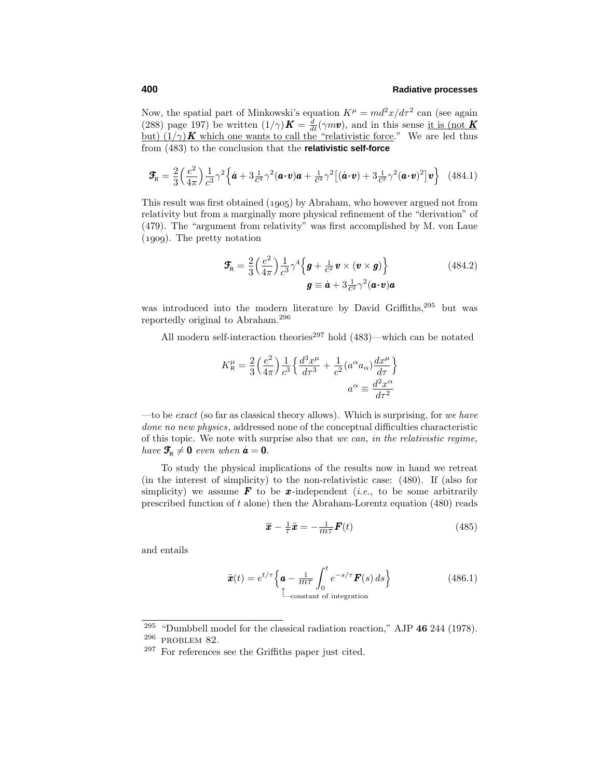Now, the spatial part of Minkowski's equation  $K^{\mu} = md^2x/d\tau^2$  can (see again (288) page 197) be written  $(1/\gamma)K = \frac{d}{dt}(\gamma m v)$ , and in this sense it is (not K) but)  $(1/\gamma)$  **K** which one wants to call the "relativistic force." We are led thus from (483) to the conclusion that the **relativistic self-force**

$$
\mathbf{F}_{\mathsf{R}} = \frac{2}{3} \left( \frac{e^2}{4\pi} \right) \frac{1}{c^3} \gamma^2 \left\{ \dot{\mathbf{a}} + 3 \frac{1}{c^2} \gamma^2 (\mathbf{a} \cdot \mathbf{v}) \mathbf{a} + \frac{1}{c^2} \gamma^2 \left[ (\dot{\mathbf{a}} \cdot \mathbf{v}) + 3 \frac{1}{c^2} \gamma^2 (\mathbf{a} \cdot \mathbf{v})^2 \right] \mathbf{v} \right\} \tag{484.1}
$$

This result was first obtained (1905) by Abraham, who however argued not from relativity but from a marginally more physical refinement of the "derivation" of (479). The "argument from relativity" was first accomplished by M. von Laue  $(1909)$ . The pretty notation

$$
\mathbf{F}_{\rm R} = \frac{2}{3} \left( \frac{e^2}{4\pi} \right) \frac{1}{c^3} \gamma^4 \left\{ \boldsymbol{g} + \frac{1}{c^2} \boldsymbol{v} \times (\boldsymbol{v} \times \boldsymbol{g}) \right\} \n\boldsymbol{g} \equiv \dot{\boldsymbol{a}} + 3 \frac{1}{c^2} \gamma^2 (\boldsymbol{a} \cdot \boldsymbol{v}) \boldsymbol{a}
$$
\n(484.2)

was introduced into the modern literature by David Griffiths,<sup>295</sup> but was reportedly original to Abraham.<sup>296</sup>

All modern self-interaction theories<sup>297</sup> hold  $(483)$ —which can be notated

$$
K_{\rm R}^{\mu} = \frac{2}{3} \left( \frac{e^2}{4\pi} \right) \frac{1}{c^3} \left\{ \frac{d^3 x^{\mu}}{d\tau^3} + \frac{1}{c^2} (a^{\alpha} a_{\alpha}) \frac{dx^{\mu}}{d\tau} \right\}
$$

$$
a^{\alpha} \equiv \frac{d^2 x^{\alpha}}{d\tau^2}
$$

—to be exact (so far as classical theory allows). Which is surprising, for we have done no new physics, addressed none of the conceptual difficulties characteristic of this topic. We note with surprise also that we can, in the relativistic regime, have  $\mathbf{F}_{\mathbf{R}} \neq \mathbf{0}$  even when  $\dot{\mathbf{a}} = \mathbf{0}$ .

To study the physical implications of the results now in hand we retreat (in the interest of simplicity) to the non-relativistic case: (480). If (also for simplicity) we assume  $\mathbf{F}$  to be *x*-independent (*i.e.*, to be some arbitrarily prescribed function of *t* alone) then the Abraham-Lorentz equation (480) reads

$$
\ddot{\boldsymbol{x}} - \frac{1}{\tau} \dot{\boldsymbol{x}} = -\frac{1}{m\tau} \boldsymbol{F}(t) \tag{485}
$$

and entails

$$
\ddot{\boldsymbol{x}}(t) = e^{t/\tau} \left\{ \boldsymbol{a} - \frac{1}{m\tau} \int_0^t e^{-s/\tau} \boldsymbol{F}(s) \, ds \right\}
$$
(486.1)  
Constant of integration

<sup>295</sup> "Dumbbell model for the classical radiation reaction," AJP **46** 244 (1978).

<sup>296</sup> problem 82.

<sup>297</sup> For references see the Griffiths paper just cited.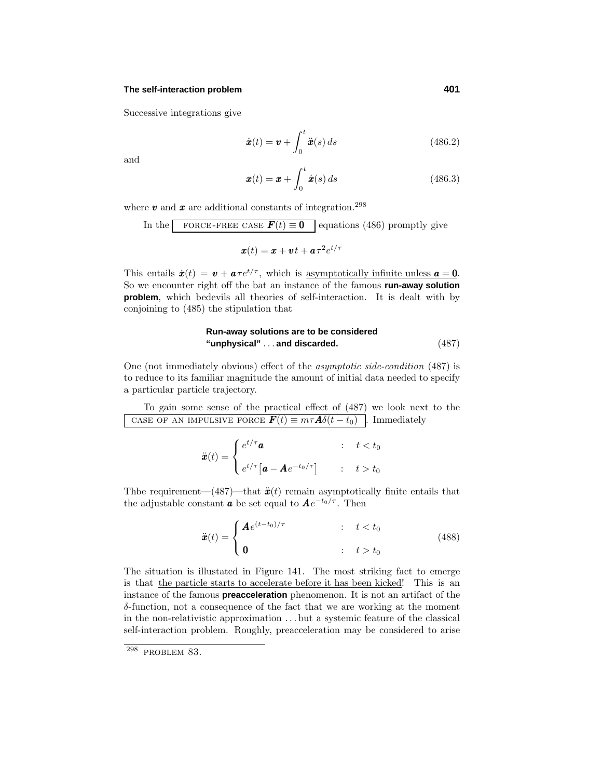#### **The self-interaction problem 401**

Successive integrations give

$$
\dot{\boldsymbol{x}}(t) = \boldsymbol{v} + \int_0^t \ddot{\boldsymbol{x}}(s) \, ds \tag{486.2}
$$

and

$$
\boldsymbol{x}(t) = \boldsymbol{x} + \int_0^t \dot{\boldsymbol{x}}(s) \, ds \tag{486.3}
$$

where  $v$  and  $x$  are additional constants of integration.<sup>298</sup>

In the **FORCE-FREE CASE** 
$$
F(t) \equiv 0
$$
 equations (486) promptly give

$$
\boldsymbol{x}(t) = \boldsymbol{x} + \boldsymbol{v}t + \boldsymbol{a}\tau^2 e^{t/\tau}
$$

This entails  $\dot{x}(t) = v + a\tau e^{t/\tau}$ , which is asymptotically infinite unless  $a = 0$ . So we encounter right off the bat an instance of the famous **run-away solution problem**, which bedevils all theories of self-interaction. It is dealt with by conjoining to  $(485)$  the stipulation that

# **Run-away solutions are to be considered "unphysical"** *...* **and discarded.** (487)

One (not immediately obvious) effect of the asymptotic side-condition (487) is to reduce to its familiar magnitude the amount of initial data needed to specify a particular particle trajectory.

To gain some sense of the practical effect of (487) we look next to the case of an impulsive force  $\boldsymbol{F}(t) \equiv m\tau \boldsymbol{A} \delta(t - t_0)$ . Immediately

$$
\ddot{\boldsymbol{x}}(t) = \begin{cases} e^{t/\tau} \boldsymbol{a} & : \quad t < t_0 \\ e^{t/\tau} \big[ \boldsymbol{a} - \boldsymbol{A} e^{-t_0/\tau} \big] & : \quad t > t_0 \end{cases}
$$

Thbe requirement—(487)—that  $\ddot{x}(t)$  remain asymptotically finite entails that the adjustable constant *a* be set equal to  $Ae^{-t_0/\tau}$ . Then

$$
\ddot{\boldsymbol{x}}(t) = \begin{cases} \boldsymbol{A}e^{(t-t_0)/\tau} & \text{if } t < t_0 \\ \boldsymbol{0} & \text{if } t > t_0 \end{cases} \tag{488}
$$

The situation is illustated in Figure 141. The most striking fact to emerge is that the particle starts to accelerate before it has been kicked! This is an instance of the famous **preacceleration** phenomenon. It is not an artifact of the *δ*-function, not a consequence of the fact that we are workingat the moment in the non-relativistic approximation *...* but a systemic feature of the classical self-interaction problem. Roughly, preacceleration may be considered to arise

 $298$  PROBLEM 83.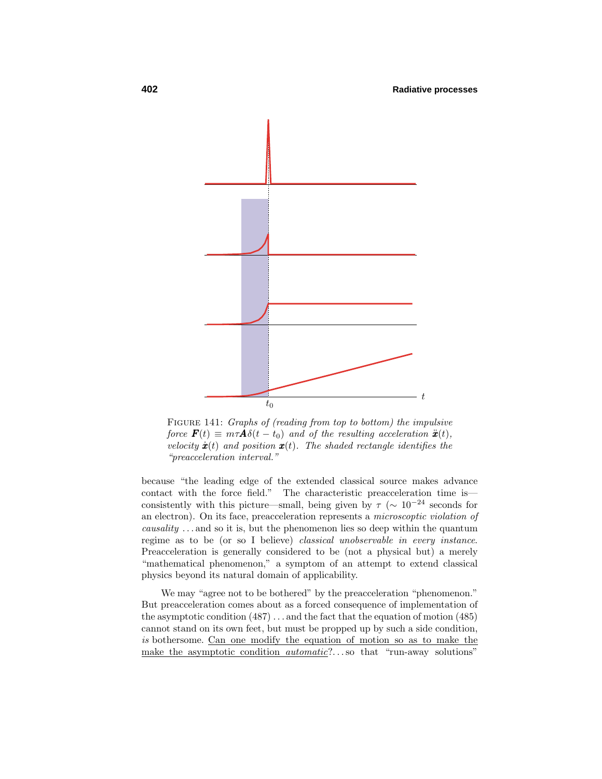

FIGURE 141: Graphs of (reading from top to bottom) the impulsive force  $\mathbf{F}(t) \equiv m\tau \mathbf{A}\delta(t-t_0)$  and of the resulting acceleration  $\ddot{\mathbf{x}}(t)$ , velocity  $\dot{x}(t)$  and position  $x(t)$ . The shaded rectangle identifies the "preacceleration interval."

because "the leading edge of the extended classical source makes advance contact with the force field." The characteristic preacceleration time is consistently with this picture—small, being given by  $\tau$  ( $\sim 10^{-24}$  seconds for an electron). On its face, preacceleration represents a microscoptic violation of causality *...* and so it is, but the phenomenon lies so deep within the quantum regime as to be (or so I believe) classical unobservable in every instance. Preacceleration is generally considered to be (not a physical but) a merely "mathematical phenomenon," a symptom of an attempt to extend classical physics beyond its natural domain of applicability.

We may "agree not to be bothered" by the preacceleration "phenomenon." But preacceleration comes about as a forced consequence of implementation of the asymptotic condition (487) *...* and the fact that the equation of motion (485) cannot stand on its own feet, but must be propped up by such a side condition, is bothersome. Can one modify the equation of motion so as to make the make the asymptotic condition automatic?*...*so that "run-away solutions"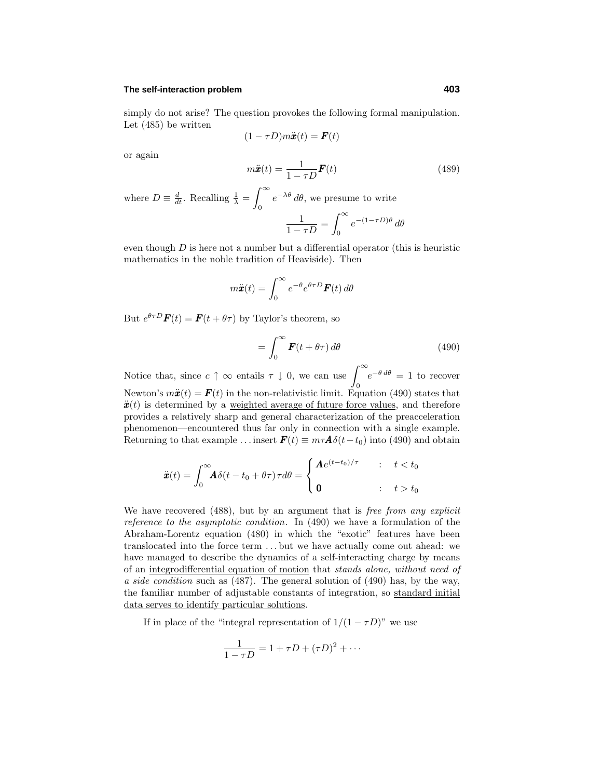#### **The self-interaction problem 403**

simply do not arise? The question provokes the following formal manipulation. Let (485) be written

$$
(1 - \tau D)m\ddot{\boldsymbol{x}}(t) = \boldsymbol{F}(t)
$$

or again

$$
m\ddot{\boldsymbol{x}}(t) = \frac{1}{1 - \tau D} \boldsymbol{F}(t)
$$
\n(489)

where  $D \equiv \frac{d}{dt}$ . Recalling  $\frac{1}{\lambda} = \int_{0}^{\infty}$ 0 *e*−*λθ dθ*, we presume to write  $\int^{\infty}$ 

$$
\frac{1}{1-\tau D} = \int_0^\infty e^{-(1-\tau D)\theta} d\theta
$$

even though *D* is here not a number but a differential operator (this is heuristic mathematics in the noble tradition of Heaviside). Then

$$
m\ddot{\boldsymbol{x}}(t) = \int_0^\infty e^{-\theta} e^{\theta \tau D} \boldsymbol{F}(t) d\theta
$$

But  $e^{\theta \tau D} \mathbf{F}(t) = \mathbf{F}(t + \theta \tau)$  by Taylor's theorem, so

$$
=\int_0^\infty \boldsymbol{F}(t+\theta\tau) \,d\theta\tag{490}
$$

Notice that, since  $c \uparrow \infty$  entails  $\tau \downarrow 0$ , we can use  $\int_0^\infty$  $e^{-\theta d\theta} = 1$  to recover Newton's  $m\ddot{x}(t) = F(t)$  in the non-relativistic limit. Equation (490) states that  $\ddot{x}(t)$  is determined by a weighted average of future force values, and therefore provides a relatively sharp and general characterization of the preacceleration phenomenon—encountered thus far only in connection with a single example. Returning to that example ... insert  $\mathbf{F}(t) \equiv m\tau \mathbf{A}\delta(t-t_0)$  into (490) and obtain

$$
\ddot{\boldsymbol{x}}(t) = \int_0^\infty \!\! \boldsymbol{A} \delta(t - t_0 + \theta \tau) \tau d\theta = \begin{cases} \boldsymbol{A} e^{(t - t_0)/\tau} & : \quad t < t_0 \\ \mathbf{0} & : \quad t > t_0 \end{cases}
$$

We have recovered (488), but by an argument that is *free from any explicit* reference to the asymptotic condition. In (490) we have a formulation of the Abraham-Lorentz equation (480) in which the "exotic" features have been translocated into the force term *...* but we have actually come out ahead: we have managed to describe the dynamics of a self-interacting charge by means of an integrodifferential equation of motion that stands alone, without need of a side condition such as (487). The general solution of (490) has, by the way, the familiar number of adjustable constants of integration, so standard initial data serves to identify particular solutions.

If in place of the "integral representation of  $1/(1 - \tau D)$ " we use

$$
\frac{1}{1-\tau D} = 1 + \tau D + (\tau D)^2 + \cdots
$$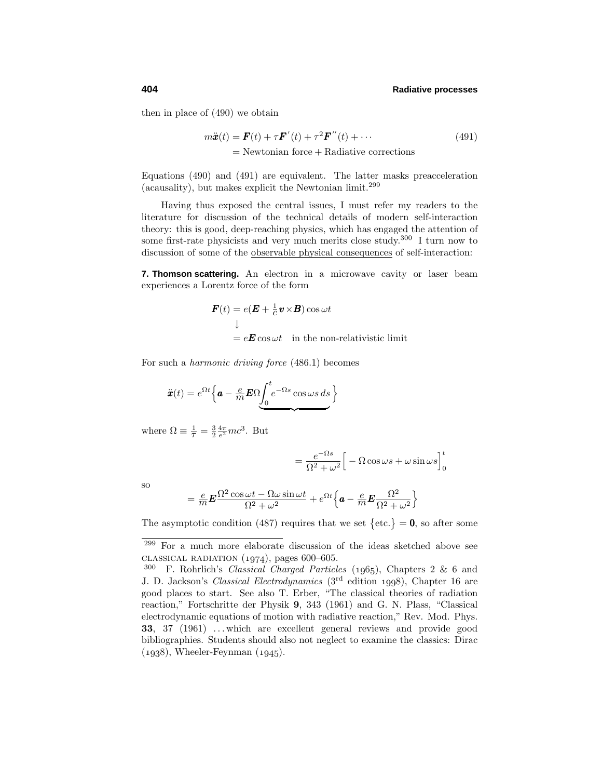then in place of (490) we obtain

$$
m\ddot{\boldsymbol{x}}(t) = \boldsymbol{F}(t) + \tau \boldsymbol{F}'(t) + \tau^2 \boldsymbol{F}''(t) + \cdots
$$
  
= Newtonian force + Radiative corrections (491)

Equations (490) and (491) are equivalent. The latter masks preacceleration (acausality), but makes explicit the Newtonian limit.<sup>299</sup>

Having thus exposed the central issues, I must refer my readers to the literature for discussion of the technical details of modern self-interaction theory: this is good, deep-reaching physics, which has engaged the attention of some first-rate physicists and very much merits close study.<sup>300</sup> I turn now to discussion of some of the observable physical consequences of self-interaction:

**7. Thomson scattering.** An electron in a microwave cavity or laser beam experiences a Lorentz force of the form

$$
\mathbf{F}(t) = e(\mathbf{E} + \frac{1}{c}\mathbf{v} \times \mathbf{B})\cos \omega t
$$
  

$$
\downarrow
$$
  

$$
= e\mathbf{E}\cos \omega t \quad \text{in the non-relativistic limit}
$$

For such a harmonic driving force (486.1) becomes

$$
\ddot{\boldsymbol{x}}(t) = e^{\Omega t} \left\{ \boldsymbol{a} - \frac{e}{m} \boldsymbol{E} \Omega \underbrace{\int_0^t e^{-\Omega s} \cos \omega s \, ds}_{\Omega} \right\}
$$

where  $\Omega \equiv \frac{1}{\tau} = \frac{3}{2} \frac{4\pi}{e^2} mc^3$ . But

$$
= \frac{e^{-\Omega s}}{\Omega^2 + \omega^2} \Big[ -\Omega \cos \omega s + \omega \sin \omega s \Big]_0^t
$$

so

$$
= \frac{e}{m} \mathbf{E} \frac{\Omega^2 \cos \omega t - \Omega \omega \sin \omega t}{\Omega^2 + \omega^2} + e^{\Omega t} \left\{ \mathbf{a} - \frac{e}{m} \mathbf{E} \frac{\Omega^2}{\Omega^2 + \omega^2} \right\}
$$

The asymptotic condition (487) requires that we set  $\{\text{etc.}\} = 0$ , so after some

<sup>299</sup> For a much more elaborate discussion of the ideas sketched above see classical radiation  $(1974)$ , pages 600–605.

 $300$  F. Rohrlich's *Classical Charged Particles* (1965), Chapters 2 & 6 and J. D. Jackson's *Classical Electrodynamics* (3<sup>rd</sup> edition 1998), Chapter 16 are good places to start. See also T. Erber, "The classical theories of radiation reaction," Fortschritte der Physik **9**, 343 (1961) and G. N. Plass, "Classical electrodynamic equations of motion with radiative reaction," Rev. Mod. Phys. **33**, 37 (1961) *...* which are excellent general reviews and provide good bibliographies. Students should also not neglect to examine the classics: Dirac  $(1938)$ , Wheeler-Feynman  $(1945)$ .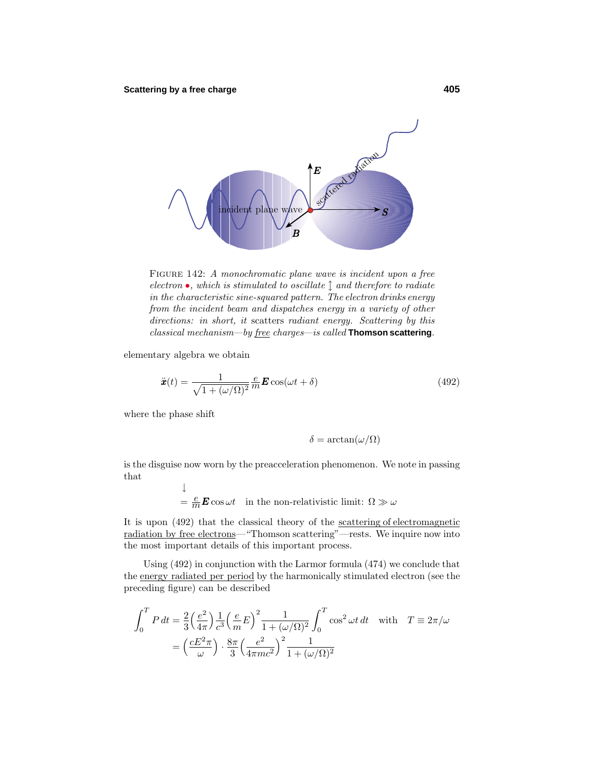

FIGURE 142: A monochromatic plane wave is incident upon a free electron  $\bullet$ , which is stimulated to oscillate  $\hat{\downarrow}$  and therefore to radiate in the characteristic sine-squared pattern. The electron drinks energy from the incident beam and dispatches energy in a variety of other directions: in short, it scatters radiant energy. Scattering by this classical mechanism—by free charges—is called **Thomson scattering**.

elementary algebra we obtain

$$
\ddot{\boldsymbol{x}}(t) = \frac{1}{\sqrt{1 + (\omega/\Omega)^2}} \frac{e}{m} \boldsymbol{E} \cos(\omega t + \delta)
$$
\n(492)

where the phase shift

$$
\delta = \arctan(\omega/\Omega)
$$

is the disguise now worn by the preacceleration phenomenon. We note in passing that

↓  $= \frac{e}{m} \mathbf{E} \cos \omega t$  in the non-relativistic limit:  $\Omega \gg \omega$ 

It is upon  $(492)$  that the classical theory of the scattering of electromagnetic radiation by free electrons—"Thomson scattering"—rests. We inquire now into the most important details of this important process.

Using(492) in conjunction with the Larmor formula (474) we conclude that the energy radiated per period by the harmonically stimulated electron (see the preceding figure) can be described

$$
\int_0^T P dt = \frac{2}{3} \left(\frac{e^2}{4\pi}\right) \frac{1}{c^3} \left(\frac{e}{m}E\right)^2 \frac{1}{1 + (\omega/\Omega)^2} \int_0^T \cos^2 \omega t dt \quad \text{with} \quad T \equiv 2\pi/\omega
$$

$$
= \left(\frac{cE^2 \pi}{\omega}\right) \cdot \frac{8\pi}{3} \left(\frac{e^2}{4\pi mc^2}\right)^2 \frac{1}{1 + (\omega/\Omega)^2}
$$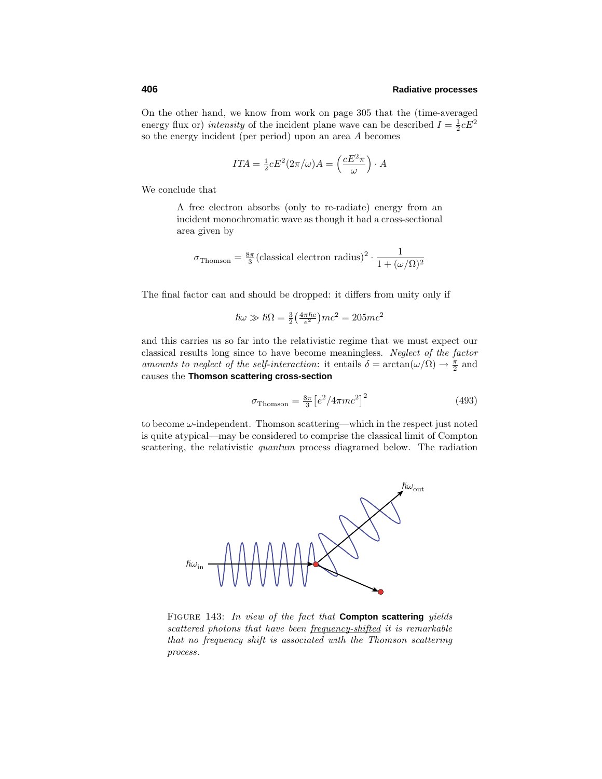On the other hand, we know from work on page 305 that the (time-averaged energy flux or) *intensity* of the incident plane wave can be described  $I = \frac{1}{2}cE^2$ so the energy incident (per period) upon an area *A* becomes

$$
ITA = \frac{1}{2} cE^2 (2\pi/\omega) A = \left(\frac{cE^2 \pi}{\omega}\right) \cdot A
$$

We conclude that

A free electron absorbs (only to re-radiate) energy from an incident monochromatic wave as though it had a cross-sectional area given by

$$
\sigma_{\text{Thomson}} = \frac{8\pi}{3} (\text{classical electron radius})^2 \cdot \frac{1}{1 + (\omega/\Omega)^2}
$$

The final factor can and should be dropped: it differs from unity only if

$$
\hbar\omega \gg \hbar\Omega = \frac{3}{2} \left(\frac{4\pi\hbar c}{e^2}\right)mc^2 = 205mc^2
$$

and this carries us so far into the relativistic regime that we must expect our classical results long since to have become meaningless. Neglect of the factor amounts to neglect of the self-interaction: it entails  $\delta = \arctan(\omega/\Omega) \rightarrow \frac{\pi}{2}$  and causes the **Thomson scattering cross-section**

$$
\sigma_{\text{Thomson}} = \frac{8\pi}{3} \left[ e^2 / 4\pi m c^2 \right]^2 \tag{493}
$$

to become *ω*-independent. Thomson scattering—which in the respect just noted is quite atypical—may be considered to comprise the classical limit of Compton scattering, the relativistic quantum process diagramed below. The radiation



Figure 143: In view of the fact that **Compton scattering** yields scattered photons that have been frequency-shifted it is remarkable that no frequency shift is associated with the Thomson scattering process.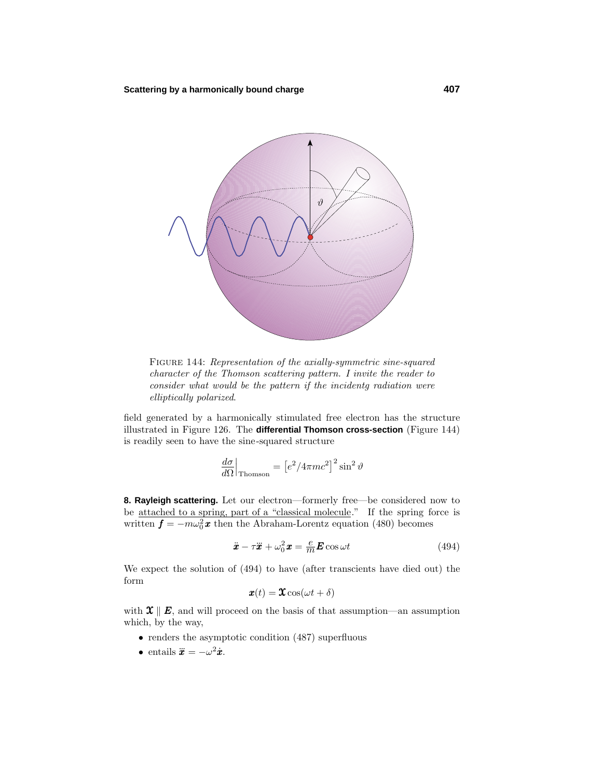

Figure 144: Representation of the axially-symmetric sine-squared character of the Thomson scattering pattern. I invite the reader to consider what would be the pattern if the incidentg radiation were elliptically polarized.

field generated by a harmonically stimulated free electron has the structure illustrated in Figure 126. The **differential Thomson cross-section** (Figure 144) is readily seen to have the sine-squared structure

$$
\left. \frac{d\sigma}{d\Omega} \right|_{\text{Thomson}} = \left[ e^2 / 4\pi m c^2 \right]^2 \sin^2 \vartheta
$$

**8. Rayleigh scattering.** Let our electron—formerly free—be considered now to be <u>attached to a spring, part of a "classical molecule</u>." If the spring force is written  $f = -m\omega_0^2 \boldsymbol{x}$  then the Abraham-Lorentz equation (480) becomes

$$
\ddot{x} - \tau \ddot{x} + \omega_0^2 \mathbf{x} = \frac{e}{m} \mathbf{E} \cos \omega t \tag{494}
$$

We expect the solution of (494) to have (after transcients have died out) the form

$$
\boldsymbol{x}(t) = \boldsymbol{\mathfrak{X}} \cos(\omega t + \delta)
$$

with  $\mathfrak{X} \parallel E$ , and will proceed on the basis of that assumption—an assumption which, by the way,

- renders the asymptotic condition (487) superfluous
- entails  $\ddot{\mathbf{x}} = -\omega^2 \dot{\mathbf{x}}$ .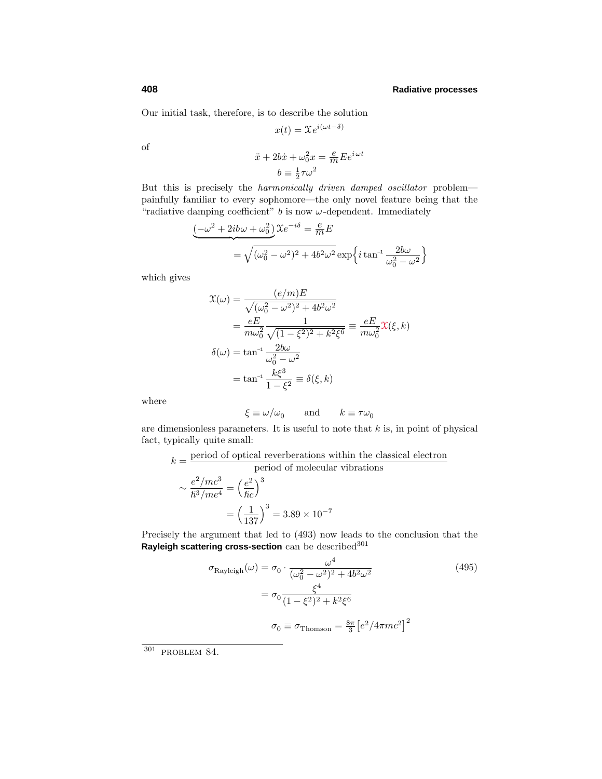Our initial task, therefore, is to describe the solution

$$
x(t) = \mathfrak{X}e^{i(\omega t - \delta)}
$$

of

$$
\ddot{x} + 2b\dot{x} + \omega_0^2 x = \frac{e}{m} E e^{i\omega t}
$$

$$
b \equiv \frac{1}{2}\tau \omega^2
$$

But this is precisely the harmonically driven damped oscillator problem painfully familiar to every sophomore—the only novel feature being that the "radiative damping coefficient"  $b$  is now  $\omega$ -dependent. Immediately

$$
\underbrace{(-\omega^2 + 2ib\omega + \omega_0^2)}_{= \sqrt{(\omega_0^2 - \omega^2)^2 + 4b^2\omega^2}} \exp\left\{i\tan^{-1}\frac{2b\omega}{\omega_0^2 - \omega^2}\right\}
$$

which gives

$$
\mathcal{X}(\omega) = \frac{(e/m)E}{\sqrt{(\omega_0^2 - \omega^2)^2 + 4b^2\omega^2}}
$$
  
=  $\frac{eE}{m\omega_0^2} \frac{1}{\sqrt{(1 - \xi^2)^2 + k^2\xi^6}} = \frac{eE}{m\omega_0^2} \mathcal{X}(\xi, k)$   

$$
\delta(\omega) = \tan^{-1} \frac{2b\omega}{\omega_0^2 - \omega^2}
$$
  
=  $\tan^{-1} \frac{k\xi^3}{1 - \xi^2} \equiv \delta(\xi, k)$ 

where

$$
\xi \equiv \omega/\omega_0 \qquad \text{and} \qquad k \equiv \tau \omega_0
$$

are dimensionless parameters. It is useful to note that *k* is, in point of physical fact, typically quite small:

$$
k = \frac{\text{period of optical reverberations within the classical electron}}{\text{period of molecular vibrations}}
$$

$$
\sim \frac{e^2/mc^3}{\hbar^3/me^4} = \left(\frac{e^2}{\hbar c}\right)^3
$$

$$
= \left(\frac{1}{137}\right)^3 = 3.89 \times 10^{-7}
$$

Precisely the argument that led to (493) now leads to the conclusion that the Rayleigh scattering cross-section can be described<sup>301</sup>

$$
\sigma_{\text{Rayleigh}}(\omega) = \sigma_0 \cdot \frac{\omega^4}{(\omega_0^2 - \omega^2)^2 + 4b^2 \omega^2}
$$
\n
$$
= \sigma_0 \frac{\xi^4}{(1 - \xi^2)^2 + k^2 \xi^6}
$$
\n
$$
\sigma_0 \equiv \sigma_{\text{Thomson}} = \frac{8\pi}{3} \left[ e^2 / 4\pi m c^2 \right]^2
$$
\n(495)

 $301$  PROBLEM 84.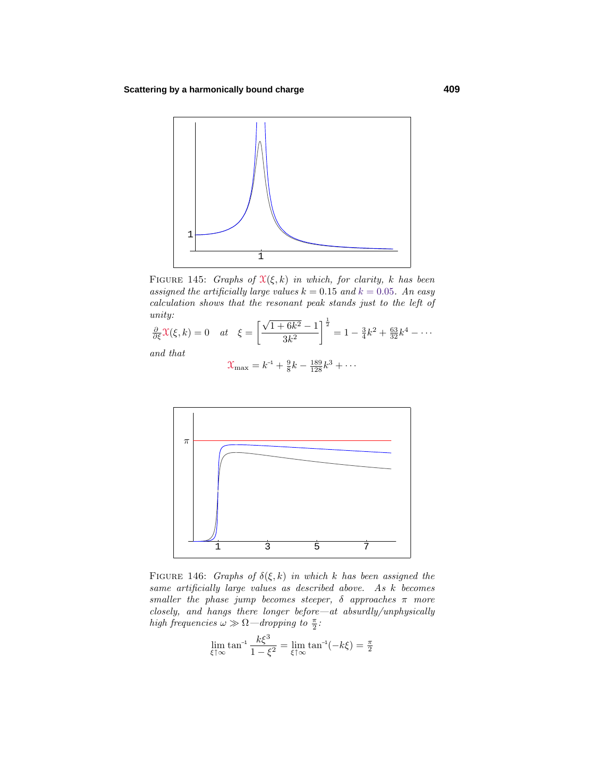

FIGURE 145: Graphs of  $\mathfrak{X}(\xi, k)$  in which, for clarity, *k* has been assigned the artificially large values  $k = 0.15$  and  $k = 0.05$ . An easy calculation shows that the resonant peak stands just to the left of unity:

$$
\frac{\partial}{\partial \xi} \chi(\xi, k) = 0 \quad at \quad \xi = \left[ \frac{\sqrt{1 + 6k^2} - 1}{3k^2} \right]^{\frac{1}{2}} = 1 - \frac{3}{4}k^2 + \frac{63}{32}k^4 - \cdots
$$

and that

$$
\mathcal{X}_{\max} = k^{-1} + \frac{9}{8}k - \frac{189}{128}k^3 + \cdots
$$



FIGURE 146: Graphs of  $\delta(\xi, k)$  in which *k* has been assigned the same artificially large values as described above. As *k* becomes smaller the phase jump becomes steeper,  $\delta$  approaches  $\pi$  more closely, and hangs there longer before—at absurdly/unphysically high frequencies  $\omega \gg \Omega$ —dropping to  $\frac{\pi}{2}$ :

$$
\lim_{\xi \uparrow \infty} \tan^{-1} \frac{k \xi^3}{1 - \xi^2} = \lim_{\xi \uparrow \infty} \tan^{-1}(-k \xi) = \frac{\pi}{2}
$$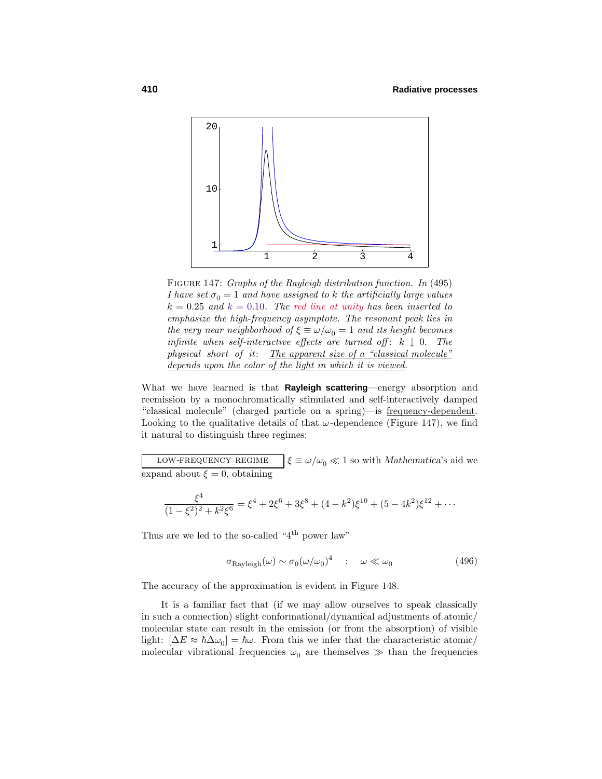

FIGURE 147: Graphs of the Rayleigh distribution function. In (495) *I* have set  $\sigma_0 = 1$  and have assigned to *k* the artificially large values  $k = 0.25$  and  $k = 0.10$ . The red line at unity has been inserted to emphasize the high-frequency asymptote. The resonant peak lies in the very near neighborhood of  $\xi \equiv \omega/\omega_0 = 1$  and its height becomes infinite when self-interactive effects are turned off:  $k \downarrow 0$ . The physical short of it: The apparent size of a "classical molecule" depends upon the color of the light in which it is viewed.

What we have learned is that **Rayleigh scattering**—energy absorption and reemission by a monochromatically stimulated and self-interactively damped "classical molecule" (charged particle on a spring)—is frequency-dependent. Looking to the qualitative details of that  $\omega$ -dependence (Figure 147), we find it natural to distinguish three regimes:

low-frequency regime $\zeta \equiv \omega/\omega_0 \ll 1$  so with *Mathematica*'s aid we expand about  $\xi = 0$ , obtaining

$$
\frac{\xi^4}{(1-\xi^2)^2+k^2\xi^6} = \xi^4 + 2\xi^6 + 3\xi^8 + (4-k^2)\xi^{10} + (5-4k^2)\xi^{12} + \cdots
$$

Thus are we led to the so-called "4<sup>th</sup> power law"

$$
\sigma_{\text{Rayleigh}}(\omega) \sim \sigma_0 (\omega/\omega_0)^4 \quad : \quad \omega \ll \omega_0 \tag{496}
$$

The accuracy of the approximation is evident in Figure 148.

It is a familiar fact that (if we may allow ourselves to speak classically in such a connection) slight conformational/dynamical adjustments of atomic/ molecular state can result in the emission (or from the absorption) of visible light:  $[\Delta E \approx \hbar \Delta \omega_0] = \hbar \omega$ . From this we infer that the characteristic atomic/ molecular vibrational frequencies  $\omega_0$  are themselves  $\gg$  than the frequencies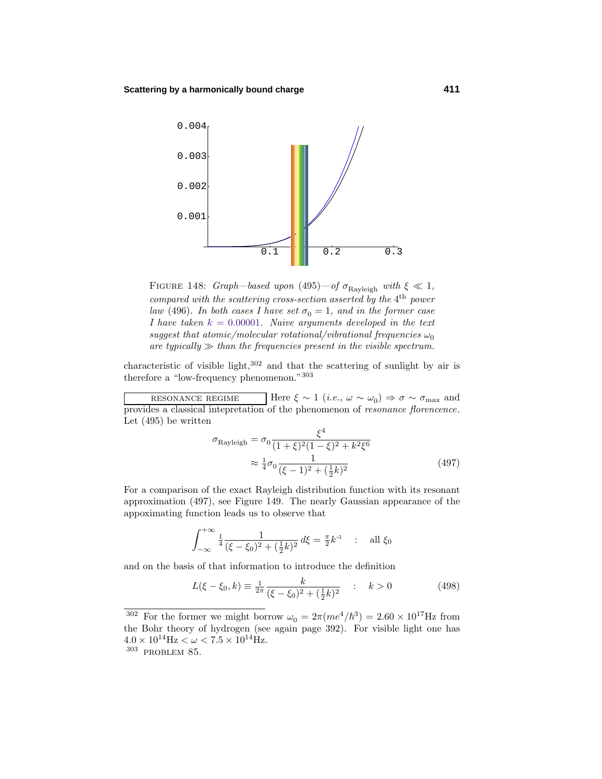

FIGURE 148: Graph—based upon (495)—of  $\sigma_{\text{Rayleigh}}$  with  $\xi \ll 1$ , compared with the scattering cross-section asserted by the 4<sup>th</sup> power law (496). In both cases I have set  $\sigma_0 = 1$ , and in the former case *I* have taken  $k = 0.00001$ . Naive arguments developed in the text suggest that atomic/molecular rotational/vibrational frequencies  $\omega_0$ are typically  $\gg$  than the frequencies present in the visible spectrum.

characteristic of visible light, $302$  and that the scattering of sunlight by air is therefore a "low-frequency phenomenon."<sup>303</sup>

resonance regimeHere  $\xi \sim 1$  (*i.e.*,  $\omega \sim \omega_0$ )  $\Rightarrow \sigma \sim \sigma_{\text{max}}$  and provides a classical intepretation of the phenomenon of resonance florencence. Let (495) be written

$$
\sigma_{\text{Rayleigh}} = \sigma_0 \frac{\xi^4}{(1+\xi)^2 (1-\xi)^2 + k^2 \xi^6}
$$

$$
\approx \frac{1}{4} \sigma_0 \frac{1}{(\xi-1)^2 + (\frac{1}{2}k)^2}
$$
(497)

For a comparison of the exact Rayleigh distribution function with its resonant approximation (497), see Figure 149. The nearlyGaussian appearance of the appoximating function leads us to observe that

$$
\int_{-\infty}^{+\infty} \frac{1}{4} \frac{1}{(\xi - \xi_0)^2 + (\frac{1}{2}k)^2} d\xi = \frac{\pi}{2} k^{-1} \quad : \quad \text{all } \xi_0
$$

and on the basis of that information to introduce the definition

$$
L(\xi - \xi_0, k) \equiv \frac{1}{2\pi} \frac{k}{(\xi - \xi_0)^2 + (\frac{1}{2}k)^2} \quad : \quad k > 0 \tag{498}
$$

<sup>&</sup>lt;sup>302</sup> For the former we might borrow  $\omega_0 = 2\pi (me^4/\hbar^3) = 2.60 \times 10^{17}$  Hz from the Bohr theory of hydrogen (see again page 392). For visible light one has  $4.0 \times 10^{14}$  Hz  $< \omega < 7.5 \times 10^{14}$  Hz.<br><sup>303</sup> PROBLEM 85.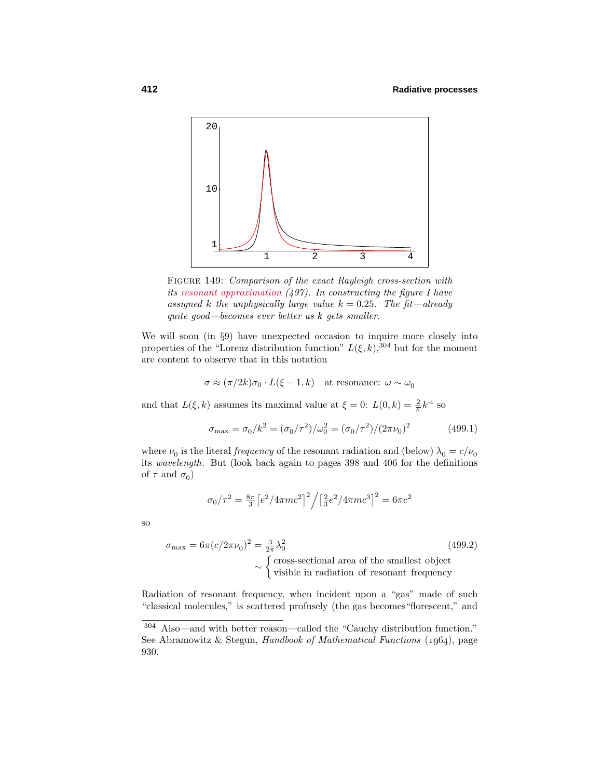

FIGURE 149: Comparison of the exact Rayleigh cross-section with its resonant approximation (497). In constructing the figure I have assigned *k* the unphysically large value  $k = 0.25$ . The fit—already quite good—becomes ever better as *k* gets smaller.

We will soon (in  $\S 9$ ) have unexpected occasion to inquire more closely into properties of the "Lorenz distribution function"  $L(\xi, k)$ , <sup>304</sup> but for the moment are content to observe that in this notation

$$
\sigma \approx (\pi/2k)\sigma_0 \cdot L(\xi - 1, k)
$$
 at resonance:  $\omega \sim \omega_0$ 

and that  $L(\xi, k)$  assumes its maximal value at  $\xi = 0$ :  $L(0, k) = \frac{2}{\pi}k^{-1}$  so

$$
\sigma_{\text{max}} = \sigma_0 / k^2 = (\sigma_0 / \tau^2) / \omega_0^2 = (\sigma_0 / \tau^2) / (2\pi\nu_0)^2 \tag{499.1}
$$

where  $\nu_0$  is the literal *frequency* of the resonant radiation and (below)  $\lambda_0 = c/\nu_0$ its wavelength. But (look back again to pages 398 and 406 for the definitions of  $\tau$  and  $\sigma_0$ )

$$
\sigma_0/\tau^2 = \frac{8\pi}{3} \left[ e^2 / 4\pi m c^2 \right]^2 / \left[ \frac{2}{3} e^2 / 4\pi m c^3 \right]^2 = 6\pi c^2
$$

so

$$
\sigma_{\text{max}} = 6\pi (c/2\pi\nu_0)^2 = \frac{3}{2\pi} \lambda_0^2
$$
 (499.2)  
\n
$$
\sim \begin{cases} \text{cross-sectional area of the smallest object} \\ \text{visible in radiation of resonant frequency} \end{cases}
$$

Radiation of resonant frequency, when incident upon a "gas" made of such "classical molecules," is scattered profusely(the gas becomes"florescent," and

 $304$  Also—and with better reason—called the "Cauchy distribution function." See Abramowitz & Stegun, Handbook of Mathematical Functions  $(1964)$ , page 930.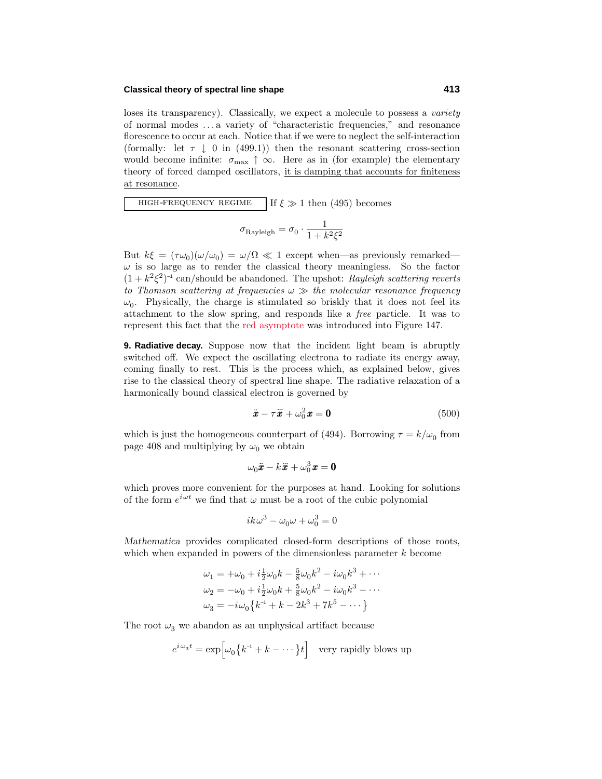#### **Classical theory of spectral line shape 413**

loses its transparency). Classically, we expect a molecule to possess a *variety* of normal modes *...* a varietyof "characteristic frequencies," and resonance florescence to occur at each. Notice that if we were to neglect the self-interaction (formally: let  $\tau \downarrow 0$  in (499.1)) then the resonant scattering cross-section would become infinite:  $\sigma_{\text{max}} \uparrow \infty$ . Here as in (for example) the elementary theory of forced damped oscillators, it is damping that accounts for finiteness at resonance.

high-frequency regime $\mathbb{E}$  If  $\xi \gg 1$  then (495) becomes

$$
\sigma_{\text{Rayleigh}} = \sigma_0 \cdot \frac{1}{1 + k^2 \xi^2}
$$

But  $k\xi = (\tau \omega_0)(\omega/\omega_0) = \omega/\Omega \ll 1$  except when—as previously remarked—  $\omega$  is so large as to render the classical theory meaningless. So the factor  $(1 + k^2 \xi^2)^{-1}$  can/should be abandoned. The upshot: Rayleigh scattering reverts to Thomson scattering at frequencies  $\omega \gg$  the molecular resonance frequency  $\omega_0$ . Physically, the charge is stimulated so briskly that it does not feel its attachment to the slow spring, and responds like a free particle. It was to represent this fact that the red asymptote was introduced into Figure 147.

**9. Radiative decay.** Suppose now that the incident light beam is abruptly switched off. We expect the oscillating electrona to radiate its energyaway, coming finally to rest. This is the process which, as explained below, gives rise to the classical theory of spectral line shape. The radiative relaxation of a harmonically bound classical electron is governed by

$$
\ddot{\boldsymbol{x}} - \tau \ddot{\boldsymbol{x}} + \omega_0^2 \boldsymbol{x} = \mathbf{0} \tag{500}
$$

which is just the homogeneous counterpart of (494). Borrowing  $\tau = k/\omega_0$  from page 408 and multiplying by  $\omega_0$  we obtain

$$
\omega_0 \ddot{\pmb{x}} - k \ddot{\pmb{x}} + \omega_0^3 \pmb{x} = \pmb{0}
$$

which proves more convenient for the purposes at hand. Looking for solutions of the form  $e^{i\omega t}$  we find that  $\omega$  must be a root of the cubic polynomial

$$
ik\omega^3 - \omega_0\omega + \omega_0^3 = 0
$$

*Mathematica* provides complicated closed-form descriptions of those roots, which when expanded in powers of the dimensionless parameter *k* become

$$
\omega_1 = +\omega_0 + i\frac{1}{2}\omega_0 k - \frac{5}{8}\omega_0 k^2 - i\omega_0 k^3 + \cdots
$$
  
\n
$$
\omega_2 = -\omega_0 + i\frac{1}{2}\omega_0 k + \frac{5}{8}\omega_0 k^2 - i\omega_0 k^3 - \cdots
$$
  
\n
$$
\omega_3 = -i\omega_0 \{k^{-1} + k - 2k^3 + 7k^5 - \cdots\}
$$

The root  $\omega_3$  we abandon as an unphysical artifact because

$$
e^{i\,\omega_3 t} = \exp\Bigl[\omega_0\bigl\{k^{-1} + k - \cdot\cdot\cdot\bigr\}t\Bigr] \quad \text{very rapidly blows up}
$$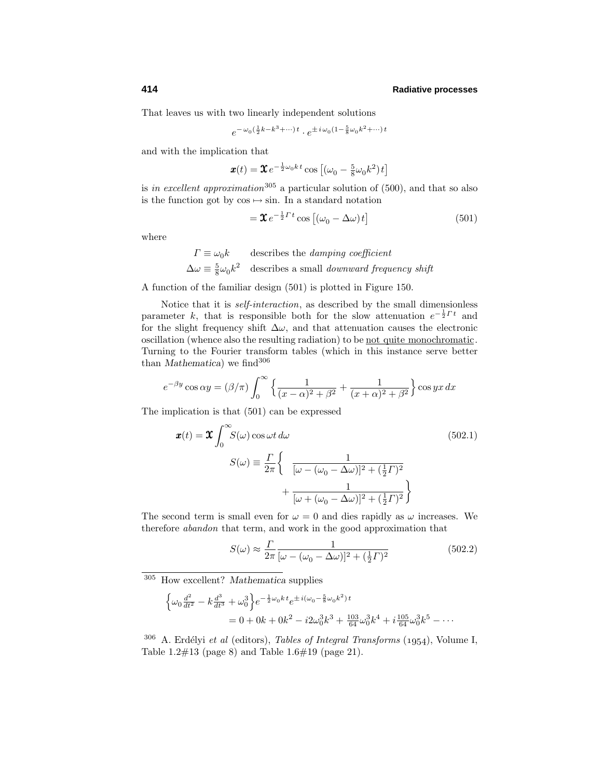That leaves us with two linearly independent solutions

$$
e^{-\omega_0(\frac{1}{2}k - k^3 + \cdots)t} \cdot e^{\pm i\omega_0(1 - \frac{5}{8}\omega_0 k^2 + \cdots)t}
$$

and with the implication that

$$
\boldsymbol{x}(t) = \boldsymbol{\mathcal{X}} e^{-\frac{1}{2}\omega_0 kt} \cos\left[ (\omega_0 - \frac{5}{8}\omega_0 k^2)t \right]
$$

is in excellent approximation<sup>305</sup> a particular solution of (500), and that so also is the function got by  $\cos \mapsto \sin$ . In a standard notation

$$
= \mathfrak{X} e^{-\frac{1}{2} \Gamma t} \cos \left[ (\omega_0 - \Delta \omega) t \right]
$$
 (501)

where

$$
\Gamma \equiv \omega_0 k \qquad \text{describes the damping coefficient}
$$
  

$$
\Delta \omega \equiv \frac{5}{8} \omega_0 k^2 \qquad \text{describes a small downward frequency shift}
$$

A function of the familiar design (501) is plotted in Figure 150.

Notice that it is *self-interaction*, as described by the small dimensionless parameter *k*, that is responsible both for the slow attenuation  $e^{-\frac{1}{2}Tt}$  and for the slight frequency shift  $\Delta\omega$ , and that attenuation causes the electronic oscillation (whence also the resulting radiation) to be not quite monochromatic. Turning to the Fourier transform tables (which in this instance serve better than *Mathematica*) we find<sup>306</sup>

$$
e^{-\beta y}\cos\alpha y = (\beta/\pi)\int_0^\infty \left\{\frac{1}{(x-\alpha)^2+\beta^2} + \frac{1}{(x+\alpha)^2+\beta^2}\right\} \cos yx \, dx
$$

The implication is that (501) can be expressed

$$
\mathbf{x}(t) = \mathbf{\mathcal{X}} \int_0^\infty S(\omega) \cos \omega t \, d\omega \tag{502.1}
$$
\n
$$
S(\omega) \equiv \frac{\Gamma}{2\pi} \left\{ \frac{1}{[\omega - (\omega_0 - \Delta \omega)]^2 + (\frac{1}{2} \Gamma)^2} + \frac{1}{[\omega + (\omega_0 - \Delta \omega)]^2 + (\frac{1}{2} \Gamma)^2} \right\}
$$

The second term is small even for  $\omega = 0$  and dies rapidly as  $\omega$  increases. We therefore abandon that term, and work in the good approximation that

$$
S(\omega) \approx \frac{\Gamma}{2\pi} \frac{1}{[\omega - (\omega_0 - \Delta\omega)]^2 + (\frac{1}{2}\Gamma)^2}
$$
(502.2)

<sup>305</sup> How excellent? *Mathematica* supplies

$$
\begin{aligned} \left\{ \omega_0 \frac{d^2}{dt^2} - k \frac{d^3}{dt^3} + \omega_0^3 \right\} e^{-\frac{1}{2}\omega_0 k \cdot t} e^{\pm i(\omega_0 - \frac{5}{8}\omega_0 k^2) \cdot t} \\ &= 0 + 0k + 0k^2 - i2\omega_0^3 k^3 + \frac{103}{64} \omega_0^3 k^4 + i\frac{105}{64} \omega_0^3 k^5 - \cdots \end{aligned}
$$

 $306$  A. Erdélyi et al (editors), Tables of Integral Transforms (1954), Volume I, Table 1.2#13 (page 8) and Table 1.6#19 (page 21).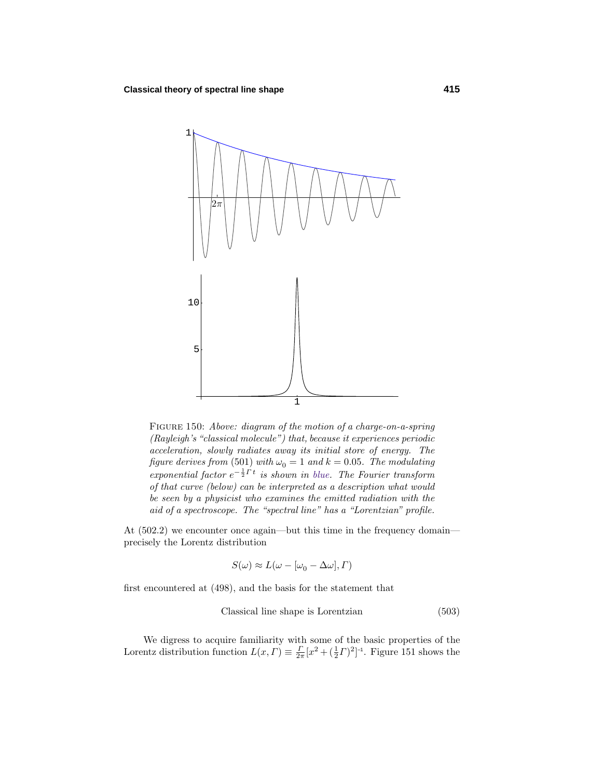

FIGURE 150: Above: diagram of the motion of a charge-on-a-spring (Rayleigh's "classical molecule") that, because it experiences periodic acceleration, slowly radiates away its initial store of energy. The figure derives from (501) with  $\omega_0 = 1$  and  $k = 0.05$ . The modulating  $exponential factor e^{-\frac{1}{2}\Gamma t}$  is shown in blue. The Fourier transform of that curve (below) can be interpreted as a description what would be seen by a physicist who examines the emitted radiation with the aid of a spectroscope. The "spectral line" has a "Lorentzian" profile.

At  $(502.2)$  we encounter once again—but this time in the frequency domain precisely the Lorentz distribution

$$
S(\omega) \approx L(\omega - [\omega_0 - \Delta \omega], \Gamma)
$$

first encountered at (498), and the basis for the statement that

$$
Classical line shape is Lorentzian
$$
\n
$$
(503)
$$

We digress to acquire familiarity with some of the basic properties of the Lorentz distribution function  $L(x, \Gamma) \equiv \frac{\Gamma}{2\pi} [x^2 + (\frac{1}{2}\Gamma)^2]^{-1}$ . Figure 151 shows the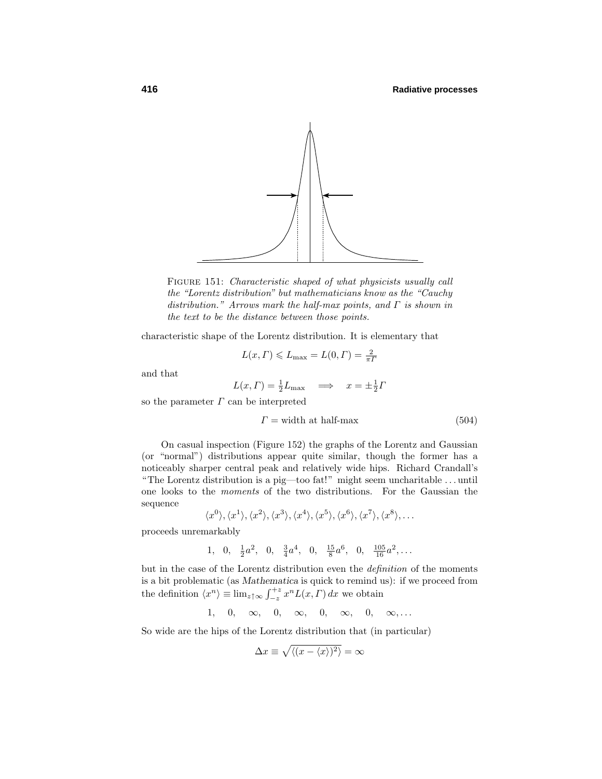

FIGURE 151: Characteristic shaped of what physicists usually call the "Lorentz distribution" but mathematicians know as the "Cauchy distribution." Arrows mark the half-max points, and *Γ* is shown in the text to be the distance between those points.

characteristic shape of the Lorentz distribution. It is elementary that

$$
L(x, \Gamma) \le L_{\text{max}} = L(0, \Gamma) = \frac{2}{\pi \Gamma}
$$

and that

$$
L(x, \Gamma) = \frac{1}{2}L_{\text{max}} \implies x = \pm \frac{1}{2}\Gamma
$$

so the parameter *Γ* can be interpreted

$$
\Gamma = \text{width at half-max} \tag{504}
$$

On casual inspection (Figure 152) the graphs of the Lorentz and Gaussian (or "normal") distributions appear quite similar, though the former has a noticeablysharper central peak and relativelywide hips. Richard Crandall's "The Lorentz distribution is a pig—too fat!" might seem uncharitable *...* until one looks to the moments of the two distributions. For the Gaussian the sequence

$$
\langle x^0 \rangle, \langle x^1 \rangle, \langle x^2 \rangle, \langle x^3 \rangle, \langle x^4 \rangle, \langle x^5 \rangle, \langle x^6 \rangle, \langle x^7 \rangle, \langle x^8 \rangle, \dots
$$

proceeds unremarkably

$$
1, \quad 0, \quad \frac{1}{2}a^2, \quad 0, \quad \frac{3}{4}a^4, \quad 0, \quad \frac{15}{8}a^6, \quad 0, \quad \frac{105}{16}a^2, \dots
$$

but in the case of the Lorentz distribution even the definition of the moments is a bit problematic (as *Mathematica* is quick to remind us): if we proceed from the definition  $\langle x^n \rangle \equiv \lim_{z \uparrow \infty} \int_{-z}^{+z} x^n L(x, \Gamma) dx$  we obtain

$$
1, \quad 0, \quad \infty, \quad 0, \quad \infty, \quad 0, \quad \infty, \quad 0, \quad \infty, \ldots
$$

So wide are the hips of the Lorentz distribution that (in particular)

$$
\Delta x \equiv \sqrt{\langle (x - \langle x \rangle)^2 \rangle} = \infty
$$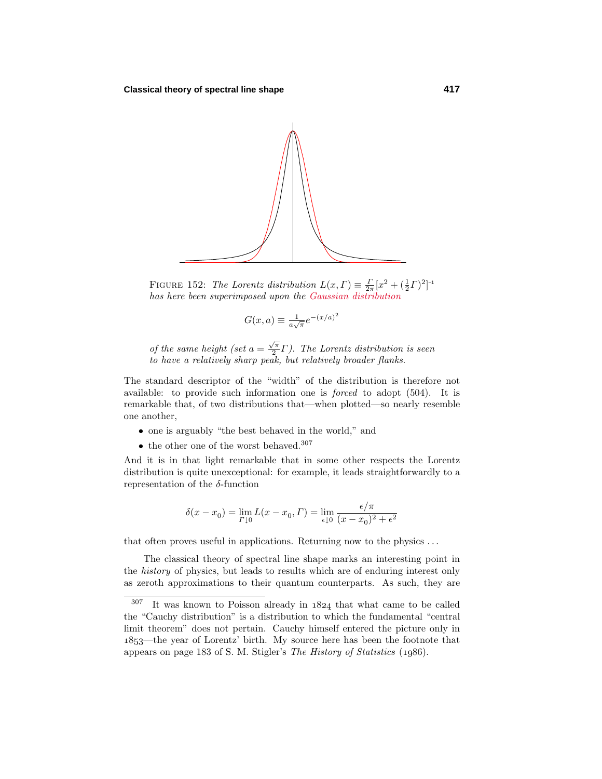

FIGURE 152: The Lorentz distribution  $L(x, \Gamma) \equiv \frac{\Gamma}{2\pi} [x^2 + (\frac{1}{2}\Gamma)^2]^{-1}$ has here been superimposed upon the Gaussian distribution

$$
G(x, a) \equiv \frac{1}{a\sqrt{\pi}} e^{-(x/a)^2}
$$

of the same height (set  $a = \frac{\sqrt{\pi}}{2} \Gamma$ ). The Lorentz distribution is seen to have a relatively sharp peak, but relatively broader flanks.

The standard descriptor of the "width" of the distribution is therefore not available: to provide such information one is forced to adopt (504). It is remarkable that, of two distributions that—when plotted—so nearly resemble one another,

- one is arguably"the best behaved in the world," and
- $\bullet\,$  the other one of the worst behaved.  $^{307}$

And it is in that light remarkable that in some other respects the Lorentz distribution is quite unexceptional: for example, it leads straightforwardly to a representation of the *δ*-function

$$
\delta(x - x_0) = \lim_{\Gamma \downarrow 0} L(x - x_0, \Gamma) = \lim_{\epsilon \downarrow 0} \frac{\epsilon / \pi}{(x - x_0)^2 + \epsilon^2}
$$

that often proves useful in applications. Returning now to the physics *...*

The classical theory of spectral line shape marks an interesting point in the history of physics, but leads to results which are of enduring interest only as zeroth approximations to their quantum counterparts. As such, they are

 $307$  It was known to Poisson already in  $1824$  that what came to be called the "Cauchy distribution" is a distribution to which the fundamental "central limit theorem" does not pertain. Cauchy himself entered the picture only in —the year of Lorentz' birth. My source here has been the footnote that appears on page 183 of S. M. Stigler's The History of Statistics (1986).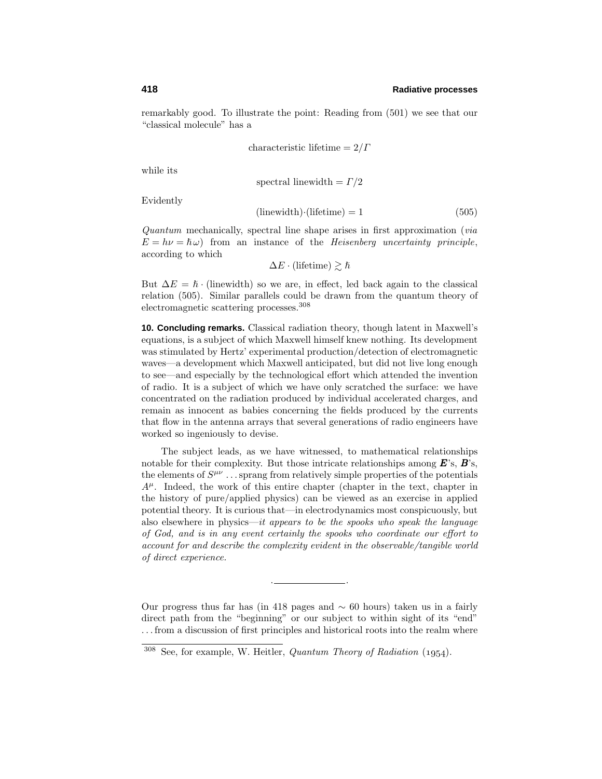remarkablygood. To illustrate the point: Reading from (501) we see that our "classical molecule" has a

$$
characteristic lifetime = 2/\Gamma
$$

while its

spectral linewidth = 
$$
\Gamma/2
$$

Evidently

$$
(\text{linewidth}) \cdot (\text{ lifetime}) = 1 \tag{505}
$$

Quantum mechanically, spectral line shape arises in first approximation (via  $E = h\nu = \hbar \omega$ ) from an instance of the *Heisenberg uncertainty principle*, according to which

 $\Delta E \cdot$  (lifetime)  $\gtrsim \hslash$ 

But  $\Delta E = \hbar \cdot$  (linewidth) so we are, in effect, led back again to the classical relation (505). Similar parallels could be drawn from the quantum theoryof electromagnetic scattering processes.<sup>308</sup>

**10. Concluding remarks.** Classical radiation theory, though latent in Maxwell's equations, is a subject of which Maxwell himself knew nothing. Its development was stimulated by Hertz' experimental production/detection of electromagnetic waves—a development which Maxwell anticipated, but did not live long enough to see—and especiallybythe technological effort which attended the invention of radio. It is a subject of which we have onlyscratched the surface: we have concentrated on the radiation produced byindividual accelerated charges, and remain as innocent as babies concerning the fields produced by the currents that flow in the antenna arrays that several generations of radio engineers have worked so ingeniously to devise.

The subject leads, as we have witnessed, to mathematical relationships notable for their complexity. But those intricate relationships among *E*'s, *B*'s, the elements of  $S^{\mu\nu}$ ...sprang from relatively simple properties of the potentials  $A^{\mu}$ . Indeed, the work of this entire chapter (chapter in the text, chapter in the history of pure/applied physics) can be viewed as an exercise in applied potential theory. It is curious that—in electrodynamics most conspicuously, but also elsewhere in physics—it appears to be the spooks who speak the language of God, and is in any event certainly the spooks who coordinate our effort to account for and describe the complexity evident in the observable/tangible world of direct experience.

Our progress thus far has (in 418 pages and  $\sim$  60 hours) taken us in a fairly direct path from the "beginning" or our subject to within sight of its "end" *...* from a discussion of first principles and historical roots into the realm where

. <u>. . . . . . . . . . . . . . .</u> .

 $308$  See, for example, W. Heitler, *Quantum Theory of Radiation* (1954).